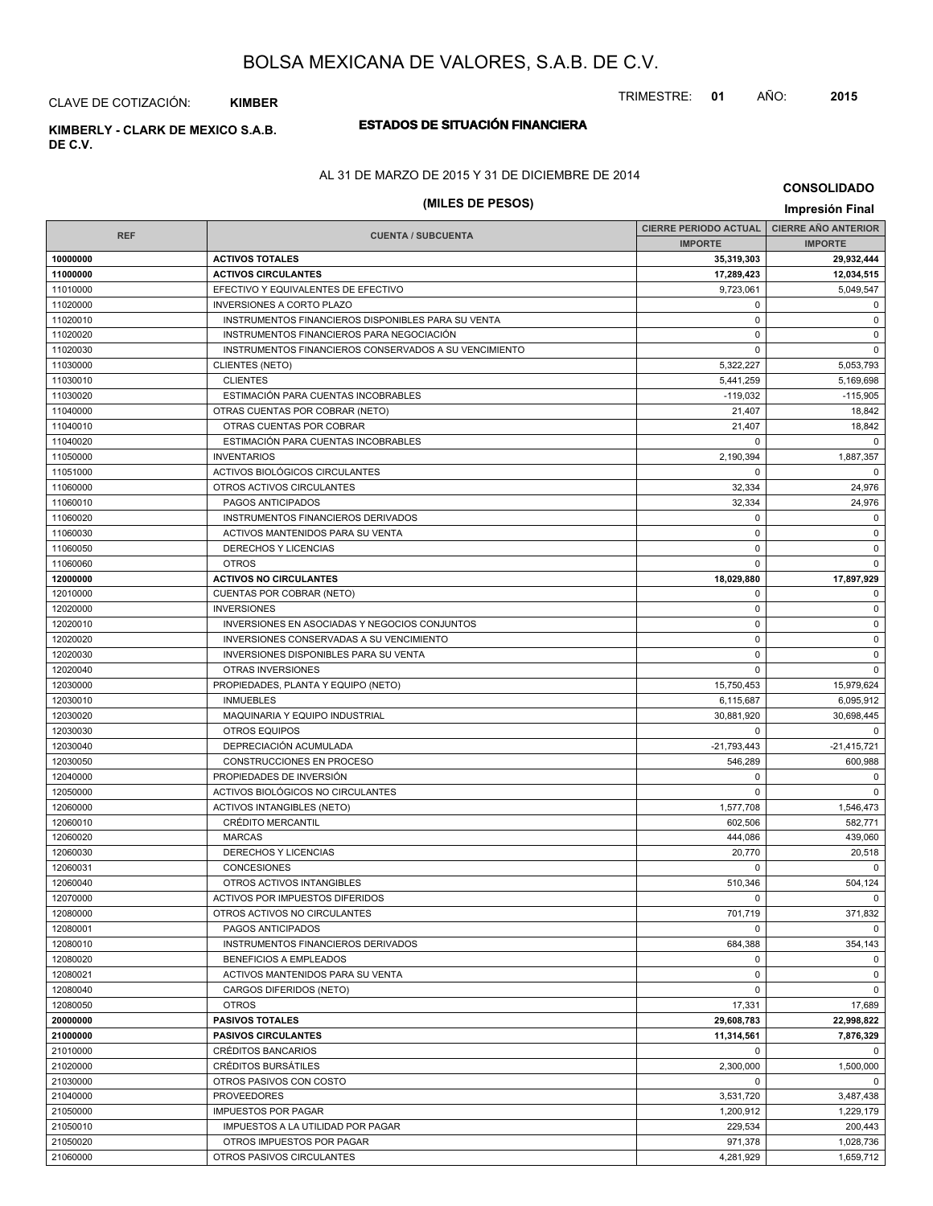TRIMESTRE: **01** AÑO: **2015**

CLAVE DE COTIZACIÓN: **KIMBER**

# **DE C.V.**

## **ESTADOS DE SITUACIÓN FINANCIERA KIMBERLY - CLARK DE MEXICO S.A.B.**

#### AL 31 DE MARZO DE 2015 Y 31 DE DICIEMBRE DE 2014

# **(MILES DE PESOS) Impresión Final**

**CONSOLIDADO**

|                      |                                                              | CIERRE PERIODO ACTUAL   CIERRE AÑO ANTERIOR |                     |
|----------------------|--------------------------------------------------------------|---------------------------------------------|---------------------|
| <b>REF</b>           | <b>CUENTA / SUBCUENTA</b>                                    | <b>IMPORTE</b>                              | <b>IMPORTE</b>      |
| 10000000             | <b>ACTIVOS TOTALES</b>                                       | 35,319,303                                  | 29,932,444          |
| 11000000             | <b>ACTIVOS CIRCULANTES</b>                                   | 17,289,423                                  | 12,034,515          |
| 11010000             | EFECTIVO Y EQUIVALENTES DE EFECTIVO                          | 9,723,061                                   | 5,049,547           |
| 11020000             | <b>INVERSIONES A CORTO PLAZO</b>                             | 0                                           | $\mathbf 0$         |
| 11020010             | INSTRUMENTOS FINANCIEROS DISPONIBLES PARA SU VENTA           | $\mathbf 0$                                 | $\mathbf 0$         |
| 11020020             | INSTRUMENTOS FINANCIEROS PARA NEGOCIACIÓN                    | $\mathbf 0$                                 | $\mathbf 0$         |
| 11020030             | INSTRUMENTOS FINANCIEROS CONSERVADOS A SU VENCIMIENTO        | $\mathbf 0$                                 | $\mathbf 0$         |
| 11030000             | <b>CLIENTES (NETO)</b>                                       | 5,322,227                                   | 5,053,793           |
| 11030010             | <b>CLIENTES</b>                                              | 5,441,259                                   | 5,169,698           |
| 11030020             | ESTIMACIÓN PARA CUENTAS INCOBRABLES                          | $-119,032$                                  | $-115,905$          |
| 11040000             | OTRAS CUENTAS POR COBRAR (NETO)                              | 21,407                                      | 18,842              |
| 11040010             | OTRAS CUENTAS POR COBRAR                                     | 21,407                                      | 18,842              |
| 11040020             | ESTIMACIÓN PARA CUENTAS INCOBRABLES                          | 0                                           | $\Omega$            |
| 11050000             | <b>INVENTARIOS</b>                                           | 2,190,394                                   | 1,887,357           |
| 11051000             | ACTIVOS BIOLÓGICOS CIRCULANTES                               | $\Omega$                                    | $\mathbf 0$         |
| 11060000             | OTROS ACTIVOS CIRCULANTES                                    | 32,334                                      | 24,976              |
| 11060010             | PAGOS ANTICIPADOS                                            | 32,334                                      | 24,976              |
| 11060020             | INSTRUMENTOS FINANCIEROS DERIVADOS                           | $\mathbf 0$                                 | $\mathbf 0$         |
| 11060030             | ACTIVOS MANTENIDOS PARA SU VENTA                             | $\mathbf 0$                                 | $\mathbf 0$         |
| 11060050             | DERECHOS Y LICENCIAS                                         | $\mathbf 0$                                 | $\mathbf 0$         |
| 11060060             | <b>OTROS</b>                                                 | $\Omega$                                    | $\mathbf 0$         |
| 12000000             | <b>ACTIVOS NO CIRCULANTES</b>                                | 18,029,880                                  | 17,897,929          |
| 12010000             | CUENTAS POR COBRAR (NETO)                                    | $\mathbf 0$                                 | $\mathbf 0$         |
| 12020000             | <b>INVERSIONES</b>                                           | $\mathbf 0$                                 | $\mathbf 0$         |
| 12020010             | INVERSIONES EN ASOCIADAS Y NEGOCIOS CONJUNTOS                | $\mathbf 0$                                 | $\mathbf 0$         |
| 12020020             | INVERSIONES CONSERVADAS A SU VENCIMIENTO                     | $\mathbf 0$                                 | $\mathsf 0$         |
| 12020030             | INVERSIONES DISPONIBLES PARA SU VENTA                        | $\mathbf 0$                                 | $\mathbf 0$         |
| 12020040             | OTRAS INVERSIONES                                            | $\mathbf 0$                                 | $\mathbf 0$         |
| 12030000             | PROPIEDADES, PLANTA Y EQUIPO (NETO)                          | 15,750,453                                  | 15,979,624          |
| 12030010             | <b>INMUEBLES</b>                                             | 6,115,687                                   | 6,095,912           |
| 12030020             | MAQUINARIA Y EQUIPO INDUSTRIAL                               | 30,881,920                                  | 30,698,445          |
| 12030030             | <b>OTROS EQUIPOS</b>                                         | $\Omega$                                    | $\mathbf 0$         |
| 12030040             | DEPRECIACIÓN ACUMULADA                                       | $-21,793,443$                               | $-21,415,721$       |
| 12030050             | CONSTRUCCIONES EN PROCESO                                    | 546,289                                     | 600,988             |
| 12040000             | PROPIEDADES DE INVERSIÓN                                     | $\mathbf 0$                                 | $\mathbf 0$         |
| 12050000             | ACTIVOS BIOLÓGICOS NO CIRCULANTES                            | $\Omega$                                    | $\mathbf 0$         |
| 12060000             | <b>ACTIVOS INTANGIBLES (NETO)</b>                            | 1,577,708                                   | 1,546,473           |
| 12060010             | <b>CRÉDITO MERCANTIL</b>                                     | 602,506                                     | 582,771             |
|                      |                                                              |                                             |                     |
| 12060020<br>12060030 | <b>MARCAS</b><br><b>DERECHOS Y LICENCIAS</b>                 | 444,086<br>20,770                           | 439,060             |
|                      |                                                              | $\Omega$                                    | 20,518<br>$\Omega$  |
| 12060031<br>12060040 | <b>CONCESIONES</b>                                           |                                             |                     |
|                      | OTROS ACTIVOS INTANGIBLES<br>ACTIVOS POR IMPUESTOS DIFERIDOS | 510,346<br>$\Omega$                         | 504,124<br>$\Omega$ |
| 12070000             |                                                              |                                             |                     |
| 12080000             | OTROS ACTIVOS NO CIRCULANTES                                 | 701,719<br>$\Omega$                         | 371,832             |
| 12080001             | PAGOS ANTICIPADOS<br>INSTRUMENTOS FINANCIEROS DERIVADOS      |                                             | $\mathbf 0$         |
| 12080010             |                                                              | 684,388                                     | 354,143             |
| 12080020             | <b>BENEFICIOS A EMPLEADOS</b>                                | $\mathbf 0$                                 | $\mathbf 0$         |
| 12080021             | ACTIVOS MANTENIDOS PARA SU VENTA                             | 0                                           | $\mathbf 0$         |
| 12080040             | CARGOS DIFERIDOS (NETO)                                      | $\mathbf 0$                                 | $\mathbf 0$         |
| 12080050             | <b>OTROS</b>                                                 | 17,331                                      | 17,689              |
| 20000000             | <b>PASIVOS TOTALES</b>                                       | 29,608,783                                  | 22,998,822          |
| 21000000             | <b>PASIVOS CIRCULANTES</b>                                   | 11,314,561                                  | 7,876,329           |
| 21010000             | CRÉDITOS BANCARIOS                                           | 0                                           | $\mathbf 0$         |
| 21020000             | CRÉDITOS BURSÁTILES                                          | 2,300,000                                   | 1,500,000           |
| 21030000             | OTROS PASIVOS CON COSTO                                      | 0                                           | $\mathbf 0$         |
| 21040000             | <b>PROVEEDORES</b>                                           | 3,531,720                                   | 3,487,438           |
| 21050000             | <b>IMPUESTOS POR PAGAR</b>                                   | 1,200,912                                   | 1,229,179           |
| 21050010             | IMPUESTOS A LA UTILIDAD POR PAGAR                            | 229,534                                     | 200,443             |
| 21050020             | OTROS IMPUESTOS POR PAGAR                                    | 971,378                                     | 1,028,736           |
| 21060000             | OTROS PASIVOS CIRCULANTES                                    | 4,281,929                                   | 1,659,712           |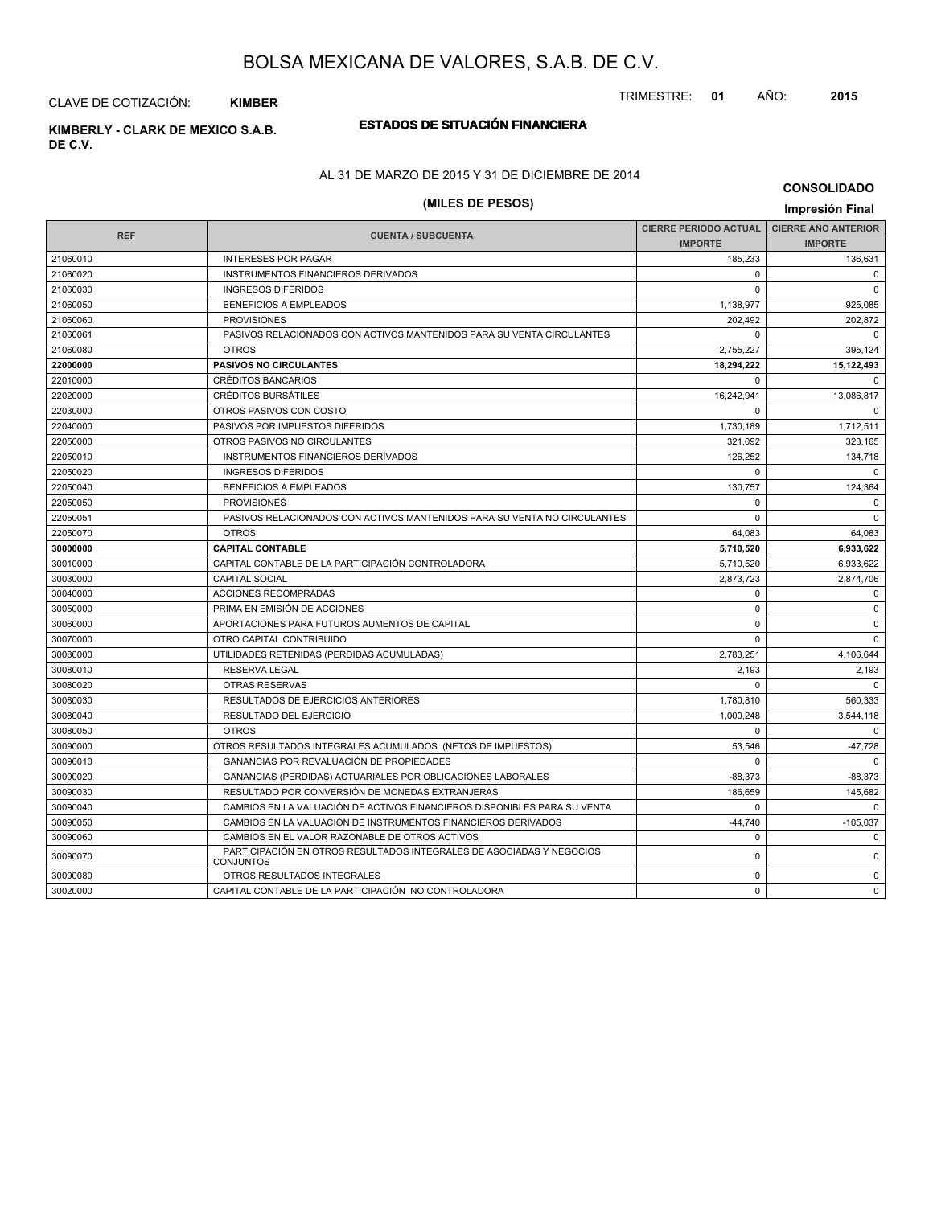TRIMESTRE: **01** AÑO: **2015**

CLAVE DE COTIZACIÓN: **KIMBER**

## **ESTADOS DE SITUACIÓN FINANCIERA KIMBERLY - CLARK DE MEXICO S.A.B.**

**DE C.V.**

## AL 31 DE MARZO DE 2015 Y 31 DE DICIEMBRE DE 2014

# **(MILES DE PESOS) Impresión Final**

**CONSOLIDADO**

|            |                                                                                          | <b>CIERRE PERIODO ACTUAL</b> | <b>CIERRE AÑO ANTERIOR</b> |
|------------|------------------------------------------------------------------------------------------|------------------------------|----------------------------|
| <b>REF</b> | <b>CUENTA / SUBCUENTA</b>                                                                | <b>IMPORTE</b>               | <b>IMPORTE</b>             |
| 21060010   | <b>INTERESES POR PAGAR</b>                                                               | 185.233                      | 136,631                    |
| 21060020   | <b>INSTRUMENTOS FINANCIEROS DERIVADOS</b>                                                | $\Omega$                     | $\Omega$                   |
| 21060030   | <b>INGRESOS DIFERIDOS</b>                                                                | $\Omega$                     | $\Omega$                   |
| 21060050   | <b>BENEFICIOS A EMPLEADOS</b>                                                            | 1,138,977                    | 925,085                    |
| 21060060   | <b>PROVISIONES</b>                                                                       | 202.492                      | 202.872                    |
| 21060061   | PASIVOS RELACIONADOS CON ACTIVOS MANTENIDOS PARA SU VENTA CIRCULANTES                    | $\Omega$                     | $\Omega$                   |
| 21060080   | <b>OTROS</b>                                                                             | 2,755,227                    | 395.124                    |
| 22000000   | <b>PASIVOS NO CIRCULANTES</b>                                                            | 18.294.222                   | 15.122.493                 |
| 22010000   | CRÉDITOS BANCARIOS                                                                       | $\Omega$                     | $\Omega$                   |
| 22020000   | <b>CRÉDITOS BURSÁTILES</b>                                                               | 16,242,941                   | 13,086,817                 |
| 22030000   | OTROS PASIVOS CON COSTO                                                                  | $\Omega$                     | $\Omega$                   |
| 22040000   | PASIVOS POR IMPUESTOS DIFERIDOS                                                          | 1,730,189                    | 1,712,511                  |
| 22050000   | OTROS PASIVOS NO CIRCULANTES                                                             | 321.092                      | 323.165                    |
| 22050010   | INSTRUMENTOS FINANCIEROS DERIVADOS                                                       | 126.252                      | 134,718                    |
| 22050020   | <b>INGRESOS DIFERIDOS</b>                                                                | $\Omega$                     | $\Omega$                   |
| 22050040   | BENEFICIOS A EMPLEADOS                                                                   | 130,757                      | 124,364                    |
| 22050050   | <b>PROVISIONES</b>                                                                       | $\Omega$                     | $\Omega$                   |
| 22050051   | PASIVOS RELACIONADOS CON ACTIVOS MANTENIDOS PARA SU VENTA NO CIRCULANTES                 | $\mathbf 0$                  | $\mathbf 0$                |
| 22050070   | <b>OTROS</b>                                                                             | 64,083                       | 64,083                     |
| 30000000   | <b>CAPITAL CONTABLE</b>                                                                  | 5,710,520                    | 6,933,622                  |
| 30010000   | CAPITAL CONTABLE DE LA PARTICIPACIÓN CONTROLADORA                                        | 5,710,520                    | 6,933,622                  |
| 30030000   | <b>CAPITAL SOCIAL</b>                                                                    | 2,873,723                    | 2,874,706                  |
| 30040000   | <b>ACCIONES RECOMPRADAS</b>                                                              | $\Omega$                     | $\mathbf 0$                |
| 30050000   | PRIMA EN EMISIÓN DE ACCIONES                                                             | $\mathbf 0$                  | $\mathbf 0$                |
| 30060000   | APORTACIONES PARA FUTUROS AUMENTOS DE CAPITAL                                            | $\Omega$                     | $\mathbf 0$                |
| 30070000   | OTRO CAPITAL CONTRIBUIDO                                                                 | $\Omega$                     | $\Omega$                   |
| 30080000   | UTILIDADES RETENIDAS (PERDIDAS ACUMULADAS)                                               | 2,783,251                    | 4,106,644                  |
| 30080010   | <b>RESERVA LEGAL</b>                                                                     | 2,193                        | 2,193                      |
| 30080020   | <b>OTRAS RESERVAS</b>                                                                    | $\Omega$                     | $\Omega$                   |
| 30080030   | RESULTADOS DE EJERCICIOS ANTERIORES                                                      | 1,780,810                    | 560,333                    |
| 30080040   | RESULTADO DEL EJERCICIO                                                                  | 1,000,248                    | 3,544,118                  |
| 30080050   | <b>OTROS</b>                                                                             | 0                            | $\mathbf 0$                |
| 30090000   | OTROS RESULTADOS INTEGRALES ACUMULADOS (NETOS DE IMPUESTOS)                              | 53,546                       | $-47,728$                  |
| 30090010   | GANANCIAS POR REVALUACIÓN DE PROPIEDADES                                                 | $\Omega$                     | $\Omega$                   |
| 30090020   | GANANCIAS (PERDIDAS) ACTUARIALES POR OBLIGACIONES LABORALES                              | $-88,373$                    | $-88,373$                  |
| 30090030   | RESULTADO POR CONVERSIÓN DE MONEDAS EXTRANJERAS                                          | 186,659                      | 145,682                    |
| 30090040   | CAMBIOS EN LA VALUACIÓN DE ACTIVOS FINANCIEROS DISPONIBLES PARA SU VENTA                 | $\Omega$                     | $\Omega$                   |
| 30090050   | CAMBIOS EN LA VALUACIÓN DE INSTRUMENTOS FINANCIEROS DERIVADOS                            | $-44,740$                    | $-105,037$                 |
| 30090060   | CAMBIOS EN EL VALOR RAZONABLE DE OTROS ACTIVOS                                           | $\mathbf 0$                  | $\mathbf 0$                |
| 30090070   | PARTICIPACIÓN EN OTROS RESULTADOS INTEGRALES DE ASOCIADAS Y NEGOCIOS<br><b>CONJUNTOS</b> | 0                            | $\mathbf 0$                |
| 30090080   | OTROS RESULTADOS INTEGRALES                                                              | 0                            | $\mathbf 0$                |
| 30020000   | CAPITAL CONTABLE DE LA PARTICIPACIÓN NO CONTROLADORA                                     | $\mathbf 0$                  | $\mathbf 0$                |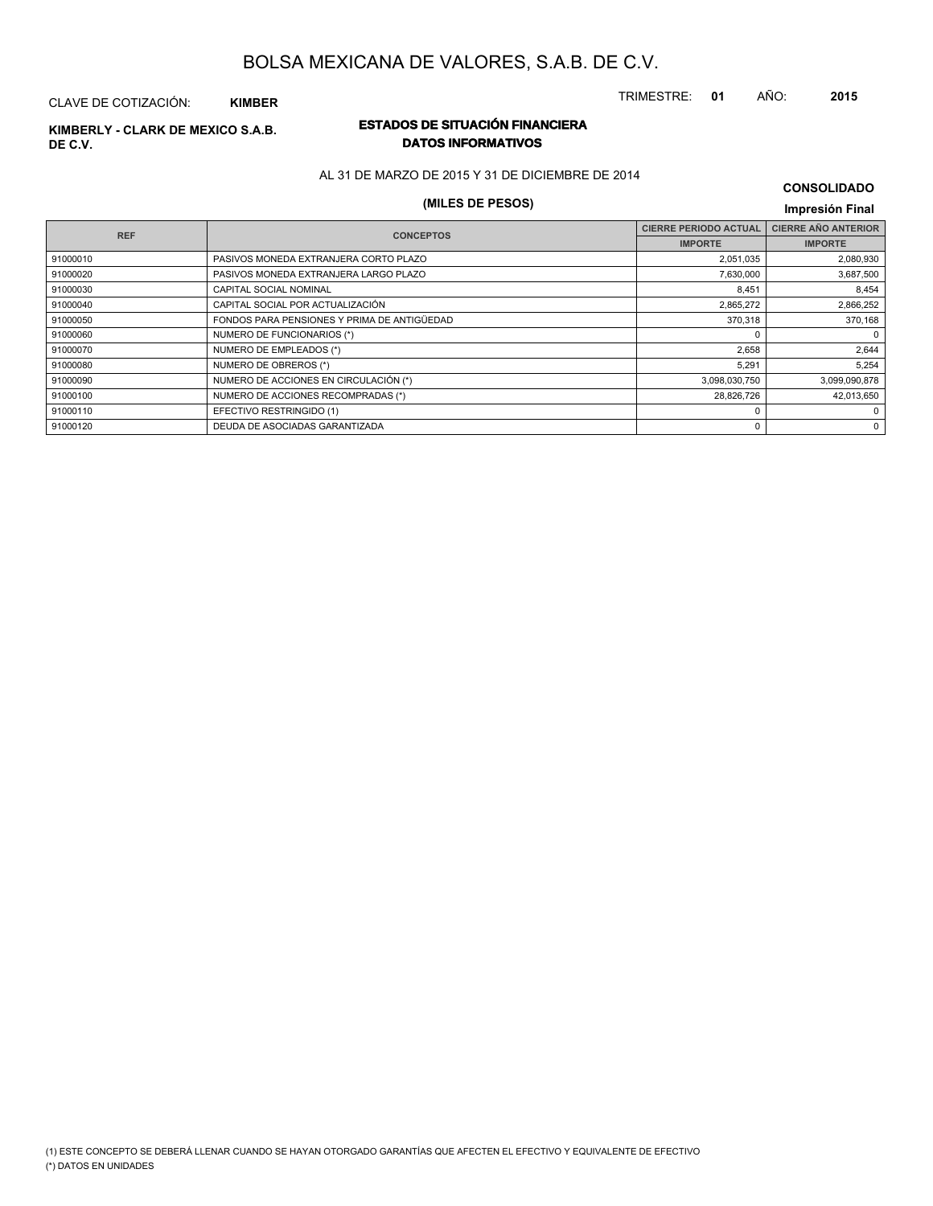TRIMESTRE: **01** AÑO: **2015**

#### CLAVE DE COTIZACIÓN: **KIMBER**

# **DE C.V.**

## **ESTADOS DE SITUACIÓN FINANCIERA KIMBERLY - CLARK DE MEXICO S.A.B. DATOS INFORMATIVOS**

AL 31 DE MARZO DE 2015 Y 31 DE DICIEMBRE DE 2014

## **(MILES DE PESOS) Impresión Final**

| <b>CONSOLIDADO</b> |  |
|--------------------|--|
|--------------------|--|

| <b>REF</b> | <b>CONCEPTOS</b>                            | <b>CIERRE PERIODO ACTUAL</b> | <b>CIERRE AÑO ANTERIOR</b> |
|------------|---------------------------------------------|------------------------------|----------------------------|
|            |                                             | <b>IMPORTE</b>               | <b>IMPORTE</b>             |
| 91000010   | PASIVOS MONEDA EXTRANJERA CORTO PLAZO       | 2,051,035                    | 2,080,930                  |
| 91000020   | PASIVOS MONEDA EXTRANJERA LARGO PLAZO       | 7,630,000                    | 3,687,500                  |
| 91000030   | CAPITAL SOCIAL NOMINAL                      | 8,451                        | 8,454                      |
| 91000040   | CAPITAL SOCIAL POR ACTUALIZACIÓN            | 2,865,272                    | 2,866,252                  |
| 91000050   | FONDOS PARA PENSIONES Y PRIMA DE ANTIGÜEDAD | 370,318                      | 370,168                    |
| 91000060   | NUMERO DE FUNCIONARIOS (*)                  | $\Omega$                     | $\mathbf{0}$               |
| 91000070   | NUMERO DE EMPLEADOS (*)                     | 2.658                        | 2,644                      |
| 91000080   | NUMERO DE OBREROS (*)                       | 5,291                        | 5,254                      |
| 91000090   | NUMERO DE ACCIONES EN CIRCULACIÓN (*)       | 3,098,030,750                | 3,099,090,878              |
| 91000100   | NUMERO DE ACCIONES RECOMPRADAS (*)          | 28,826,726                   | 42,013,650                 |
| 91000110   | EFECTIVO RESTRINGIDO (1)                    | $\Omega$                     | 0                          |
| 91000120   | DEUDA DE ASOCIADAS GARANTIZADA              | 0                            | 0                          |
|            |                                             |                              |                            |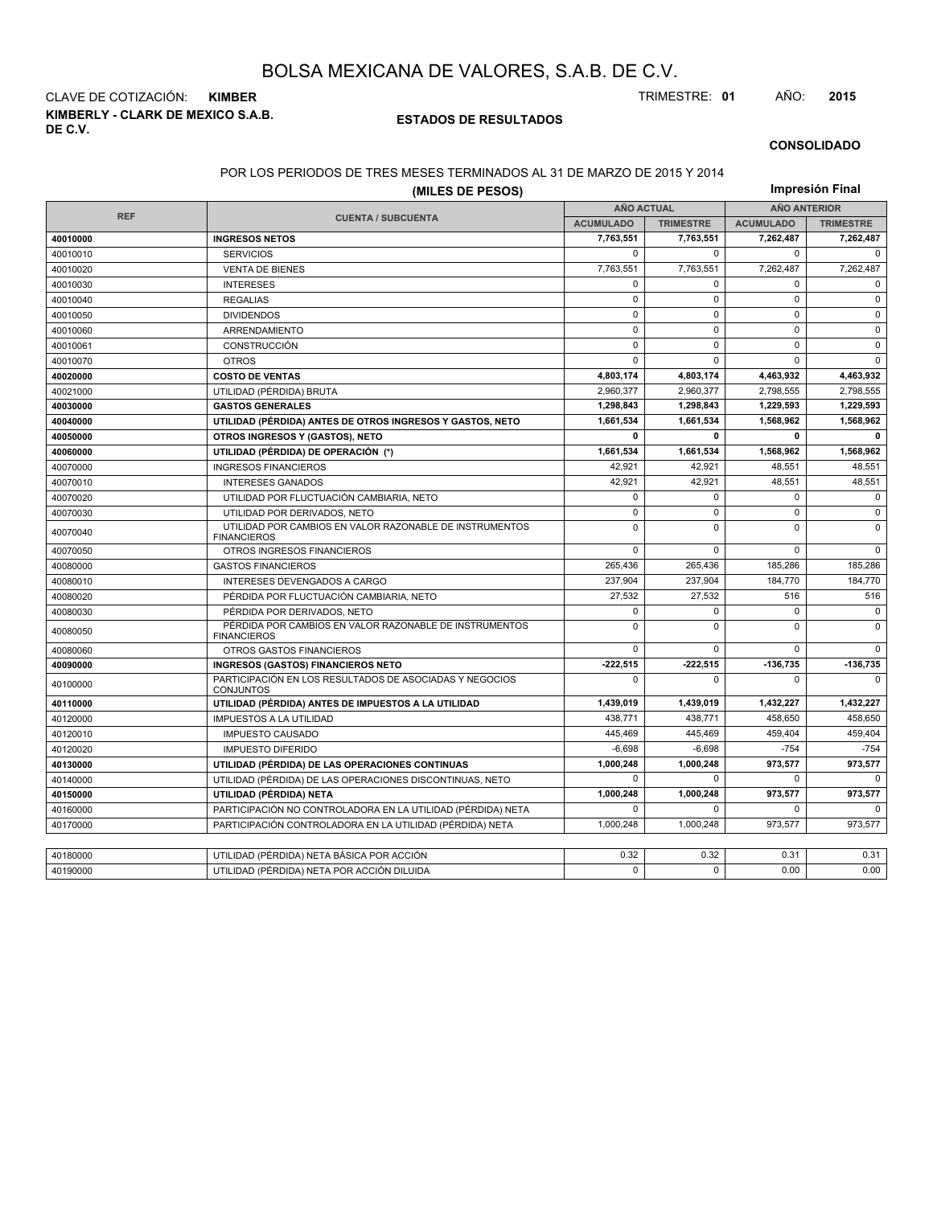**KIMBERLY - CLARK DE MEXICO S.A.B. DE C.V.** CLAVE DE COTIZACIÓN: **KIMBER** TRIMESTRE: **01** AÑO: **2015**

#### **ESTADOS DE RESULTADOS**

#### **CONSOLIDADO**

#### POR LOS PERIODOS DE TRES MESES TERMINADOS AL 31 DE MARZO DE 2015 Y 2014

|            | Impresión Final                                                               |                   |                  |                     |                  |  |
|------------|-------------------------------------------------------------------------------|-------------------|------------------|---------------------|------------------|--|
|            |                                                                               | <b>AÑO ACTUAL</b> |                  | <b>AÑO ANTERIOR</b> |                  |  |
| <b>REF</b> | <b>CUENTA / SUBCUENTA</b>                                                     | <b>ACUMULADO</b>  | <b>TRIMESTRE</b> | <b>ACUMULADO</b>    | <b>TRIMESTRE</b> |  |
| 40010000   | <b>INGRESOS NETOS</b>                                                         | 7,763,551         | 7,763,551        | 7,262,487           | 7,262,487        |  |
| 40010010   | <b>SERVICIOS</b>                                                              | $\mathbf 0$       | $\Omega$         | $\mathbf 0$         | $\Omega$         |  |
| 40010020   | <b>VENTA DE BIENES</b>                                                        | 7,763,551         | 7,763,551        | 7,262,487           | 7,262,487        |  |
| 40010030   | <b>INTERESES</b>                                                              | 0                 | $\Omega$         | $\mathbf 0$         | $\mathbf 0$      |  |
| 40010040   | <b>REGALIAS</b>                                                               | 0                 | $\mathbf 0$      | $\mathbf 0$         | $\mathbf 0$      |  |
| 40010050   | <b>DIVIDENDOS</b>                                                             | $\mathbf 0$       | $\Omega$         | $\mathbf 0$         | $\mathbf 0$      |  |
| 40010060   | ARRENDAMIENTO                                                                 | $\mathbf 0$       | $\Omega$         | $\mathbf 0$         | $\mathbf 0$      |  |
| 40010061   | <b>CONSTRUCCIÓN</b>                                                           | $\mathbf{0}$      | $\Omega$         | $\mathbf 0$         | $\mathbf 0$      |  |
| 40010070   | <b>OTROS</b>                                                                  | $\mathbf 0$       | $\mathbf 0$      | $\mathbf 0$         | $\Omega$         |  |
| 40020000   | <b>COSTO DE VENTAS</b>                                                        | 4,803,174         | 4,803,174        | 4,463,932           | 4,463,932        |  |
| 40021000   | UTILIDAD (PÉRDIDA) BRUTA                                                      | 2,960,377         | 2,960,377        | 2,798,555           | 2,798,555        |  |
| 40030000   | <b>GASTOS GENERALES</b>                                                       | 1,298,843         | 1,298,843        | 1,229,593           | 1,229,593        |  |
| 40040000   | UTILIDAD (PÉRDIDA) ANTES DE OTROS INGRESOS Y GASTOS, NETO                     | 1,661,534         | 1,661,534        | 1,568,962           | 1,568,962        |  |
| 40050000   | OTROS INGRESOS Y (GASTOS), NETO                                               | 0                 | $\mathbf 0$      | 0                   | $\mathbf 0$      |  |
| 40060000   | UTILIDAD (PÉRDIDA) DE OPERACIÓN (*)                                           | 1,661,534         | 1,661,534        | 1,568,962           | 1,568,962        |  |
| 40070000   | <b>INGRESOS FINANCIEROS</b>                                                   | 42,921            | 42,921           | 48,551              | 48,551           |  |
| 40070010   | <b>INTERESES GANADOS</b>                                                      | 42.921            | 42.921           | 48,551              | 48,551           |  |
| 40070020   | UTILIDAD POR FLUCTUACIÓN CAMBIARIA, NETO                                      | 0                 | $\mathbf 0$      | 0                   | $\mathbf 0$      |  |
| 40070030   | UTILIDAD POR DERIVADOS. NETO                                                  | $\mathbf 0$       | $\Omega$         | $\mathbf 0$         | $\mathbf 0$      |  |
| 40070040   | UTILIDAD POR CAMBIOS EN VALOR RAZONABLE DE INSTRUMENTOS<br><b>FINANCIEROS</b> | 0                 | $\Omega$         | $\mathbf 0$         | $\mathbf 0$      |  |
| 40070050   | OTROS INGRESOS FINANCIEROS                                                    | 0                 | $\mathbf 0$      | $\mathbf 0$         | $\mathbf 0$      |  |
| 40080000   | <b>GASTOS FINANCIEROS</b>                                                     | 265,436           | 265,436          | 185,286             | 185,286          |  |
| 40080010   | INTERESES DEVENGADOS A CARGO                                                  | 237,904           | 237,904          | 184,770             | 184,770          |  |
| 40080020   | PÉRDIDA POR FLUCTUACIÓN CAMBIARIA, NETO                                       | 27,532            | 27.532           | 516                 | 516              |  |
| 40080030   | PÉRDIDA POR DERIVADOS, NETO                                                   | 0                 | $\mathbf 0$      | $\mathbf 0$         | $\mathbf 0$      |  |
| 40080050   | PÉRDIDA POR CAMBIOS EN VALOR RAZONABLE DE INSTRUMENTOS<br><b>FINANCIEROS</b>  | $\mathbf 0$       | $\mathbf 0$      | $\mathbf 0$         | $\mathsf 0$      |  |
| 40080060   | <b>OTROS GASTOS FINANCIEROS</b>                                               | $\mathbf 0$       | $\mathbf 0$      | $\mathbf 0$         | $\mathbf 0$      |  |
| 40090000   | <b>INGRESOS (GASTOS) FINANCIEROS NETO</b>                                     | $-222,515$        | $-222,515$       | -136,735            | $-136,735$       |  |
| 40100000   | PARTICIPACIÓN EN LOS RESULTADOS DE ASOCIADAS Y NEGOCIOS<br>CONJUNTOS          | $\Omega$          | $\Omega$         | $\Omega$            | $\Omega$         |  |
| 40110000   | UTILIDAD (PÉRDIDA) ANTES DE IMPUESTOS A LA UTILIDAD                           | 1,439,019         | 1,439,019        | 1,432,227           | 1,432,227        |  |
| 40120000   | <b>IMPUESTOS A LA UTILIDAD</b>                                                | 438,771           | 438,771          | 458,650             | 458,650          |  |
| 40120010   | <b>IMPUESTO CAUSADO</b>                                                       | 445,469           | 445,469          | 459,404             | 459,404          |  |
| 40120020   | <b>IMPUESTO DIFERIDO</b>                                                      | $-6,698$          | $-6,698$         | $-754$              | $-754$           |  |
| 40130000   | UTILIDAD (PÉRDIDA) DE LAS OPERACIONES CONTINUAS                               | 1,000,248         | 1,000,248        | 973,577             | 973,577          |  |
| 40140000   | UTILIDAD (PÉRDIDA) DE LAS OPERACIONES DISCONTINUAS, NETO                      | 0                 | $\mathbf 0$      | $\mathbf 0$         | $\Omega$         |  |
| 40150000   | UTILIDAD (PÉRDIDA) NETA                                                       | 1,000,248         | 1,000,248        | 973,577             | 973,577          |  |
| 40160000   | PARTICIPACIÓN NO CONTROLADORA EN LA UTILIDAD (PÉRDIDA) NETA                   | 0                 | 0                | 0                   | $\Omega$         |  |
| 40170000   | PARTICIPACIÓN CONTROLADORA EN LA UTILIDAD (PÉRDIDA) NETA                      | 1,000,248         | 1,000,248        | 973,577             | 973,577          |  |
|            |                                                                               |                   |                  |                     |                  |  |
| 40180000   | UTILIDAD (PÉRDIDA) NETA BÁSICA POR ACCIÓN                                     | 0.32              | 0.32             | 0.31                | 0.31             |  |
| 40190000   | UTILIDAD (PÉRDIDA) NETA POR ACCIÓN DILUIDA                                    | 0                 | $\Omega$         | 0.00                | 0.00             |  |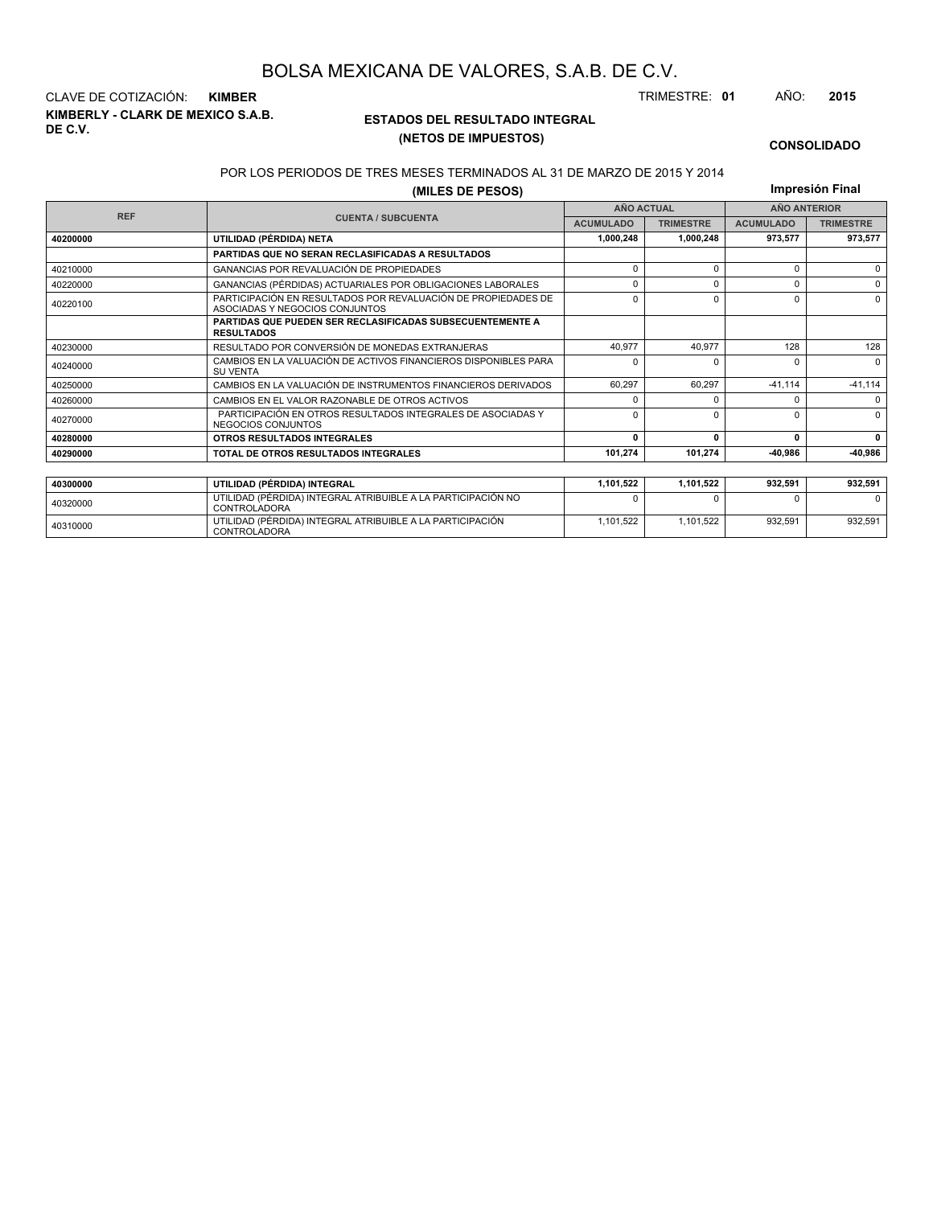**KIMBERLY - CLARK DE MEXICO S.A.B. DE C.V.** CLAVE DE COTIZACIÓN: **KIMBER** TRIMESTRE: **01** AÑO: **2015**

<sup>40310000</sup> UTILIDAD (PÉRDIDA) INTEGRAL ATRIBUIBLE A LA PARTICIPACIÓN CONTROLADORA

#### **ESTADOS DEL RESULTADO INTEGRAL (NETOS DE IMPUESTOS)**

1,101,522 1,101,522 932,591 932,591

#### **CONSOLIDADO**

#### POR LOS PERIODOS DE TRES MESES TERMINADOS AL 31 DE MARZO DE 2015 Y 2014

**(MILES DE PESOS)**

**Impresión Final**

|            |                                                                                                 |                  | <b>AÑO ACTUAL</b> | <b>AÑO ANTERIOR</b> |                  |  |
|------------|-------------------------------------------------------------------------------------------------|------------------|-------------------|---------------------|------------------|--|
| <b>REF</b> | <b>CUENTA / SUBCUENTA</b>                                                                       | <b>ACUMULADO</b> | <b>TRIMESTRE</b>  | <b>ACUMULADO</b>    | <b>TRIMESTRE</b> |  |
| 40200000   | UTILIDAD (PÉRDIDA) NETA                                                                         | 1,000,248        | 1,000,248         | 973,577             | 973,577          |  |
|            | <b>PARTIDAS QUE NO SERAN RECLASIFICADAS A RESULTADOS</b>                                        |                  |                   |                     |                  |  |
| 40210000   | <b>GANANCIAS POR REVALUACIÓN DE PROPIEDADES</b>                                                 | n                | $\Omega$          | 0                   | $\Omega$         |  |
| 40220000   | GANANCIAS (PÉRDIDAS) ACTUARIALES POR OBLIGACIONES LABORALES                                     | n                | $\Omega$          | 0                   | $\Omega$         |  |
| 40220100   | PARTICIPACIÓN EN RESULTADOS POR REVALUACIÓN DE PROPIEDADES DE<br>ASOCIADAS Y NEGOCIOS CONJUNTOS | $\Omega$         | $\Omega$          | 0                   | $\Omega$         |  |
|            | <b>PARTIDAS QUE PUEDEN SER RECLASIFICADAS SUBSECUENTEMENTE A</b><br><b>RESULTADOS</b>           |                  |                   |                     |                  |  |
| 40230000   | RESULTADO POR CONVERSIÓN DE MONEDAS EXTRANJERAS                                                 | 40.977           | 40.977            | 128                 | 128              |  |
| 40240000   | CAMBIOS EN LA VALUACIÓN DE ACTIVOS FINANCIEROS DISPONIBLES PARA<br><b>SU VENTA</b>              | n                |                   | U                   | $\Omega$         |  |
| 40250000   | CAMBIOS EN LA VALUACIÓN DE INSTRUMENTOS FINANCIEROS DERIVADOS                                   | 60,297           | 60.297            | $-41,114$           | $-41,114$        |  |
| 40260000   | CAMBIOS EN EL VALOR RAZONABLE DE OTROS ACTIVOS                                                  | n                |                   | 0                   | $\Omega$         |  |
| 40270000   | PARTICIPACIÓN EN OTROS RESULTADOS INTEGRALES DE ASOCIADAS Y<br>NEGOCIOS CONJUNTOS               | $\Omega$         | $\Omega$          | U                   | $\Omega$         |  |
| 40280000   | OTROS RESULTADOS INTEGRALES                                                                     | $\Omega$         | 0                 | 0                   | 0                |  |
| 40290000   | TOTAL DE OTROS RESULTADOS INTEGRALES                                                            | 101,274          | 101,274           | -40.986             | -40,986          |  |
|            |                                                                                                 |                  |                   |                     |                  |  |
| 40300000   | UTILIDAD (PÉRDIDA) INTEGRAL                                                                     | 1,101,522        | 1,101,522         | 932,591             | 932,591          |  |
| 40320000   | UTILIDAD (PÉRDIDA) INTEGRAL ATRIBUIBLE A LA PARTICIPACIÓN NO<br><b>CONTROLADORA</b>             |                  |                   |                     | <sup>0</sup>     |  |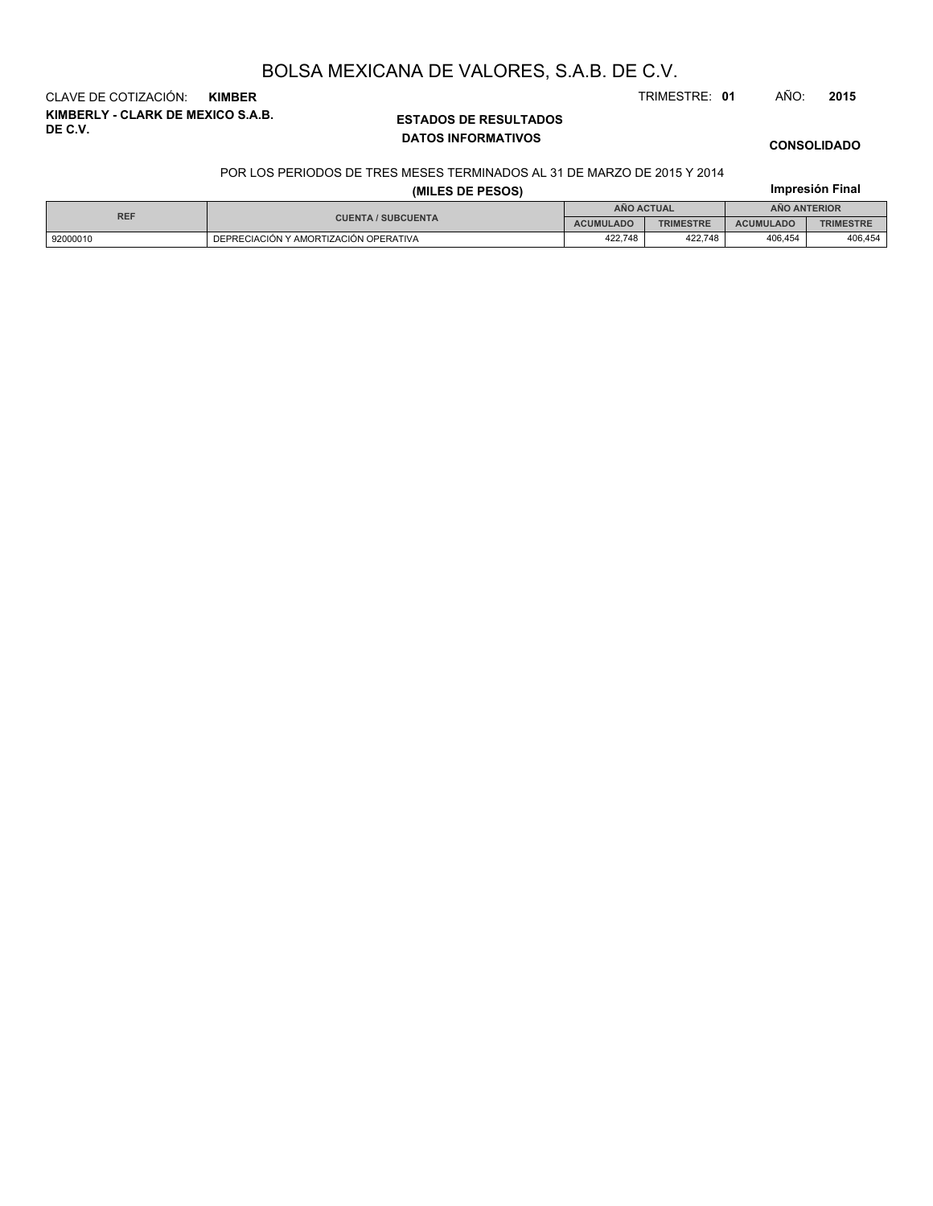**KIMBERLY - CLARK DE MEXICO S.A.B. DE C.V.** CLAVE DE COTIZACIÓN: **KIMBER** TRIMESTRE: **01** AÑO: **2015**

### **ESTADOS DE RESULTADOS DATOS INFORMATIVOS**

## **CONSOLIDADO**

**Impresión Final**

#### POR LOS PERIODOS DE TRES MESES TERMINADOS AL 31 DE MARZO DE 2015 Y 2014

#### **(MILES DE PESOS)**

| <b>REF</b> |                                       | ANO ACTUAL       |                  | <b>ANO ANTERIOR</b> |                  |  |
|------------|---------------------------------------|------------------|------------------|---------------------|------------------|--|
|            | <b>CUENTA / SUBCUENTA</b>             | <b>ACUMULADO</b> | <b>TRIMESTRE</b> | <b>ACUMULADO</b>    | <b>TRIMESTRE</b> |  |
| 92000010   | DEPRECIACIÓN Y AMORTIZACIÓN OPERATIVA | 422.748          | 422.748          | 406.454             | 406.454          |  |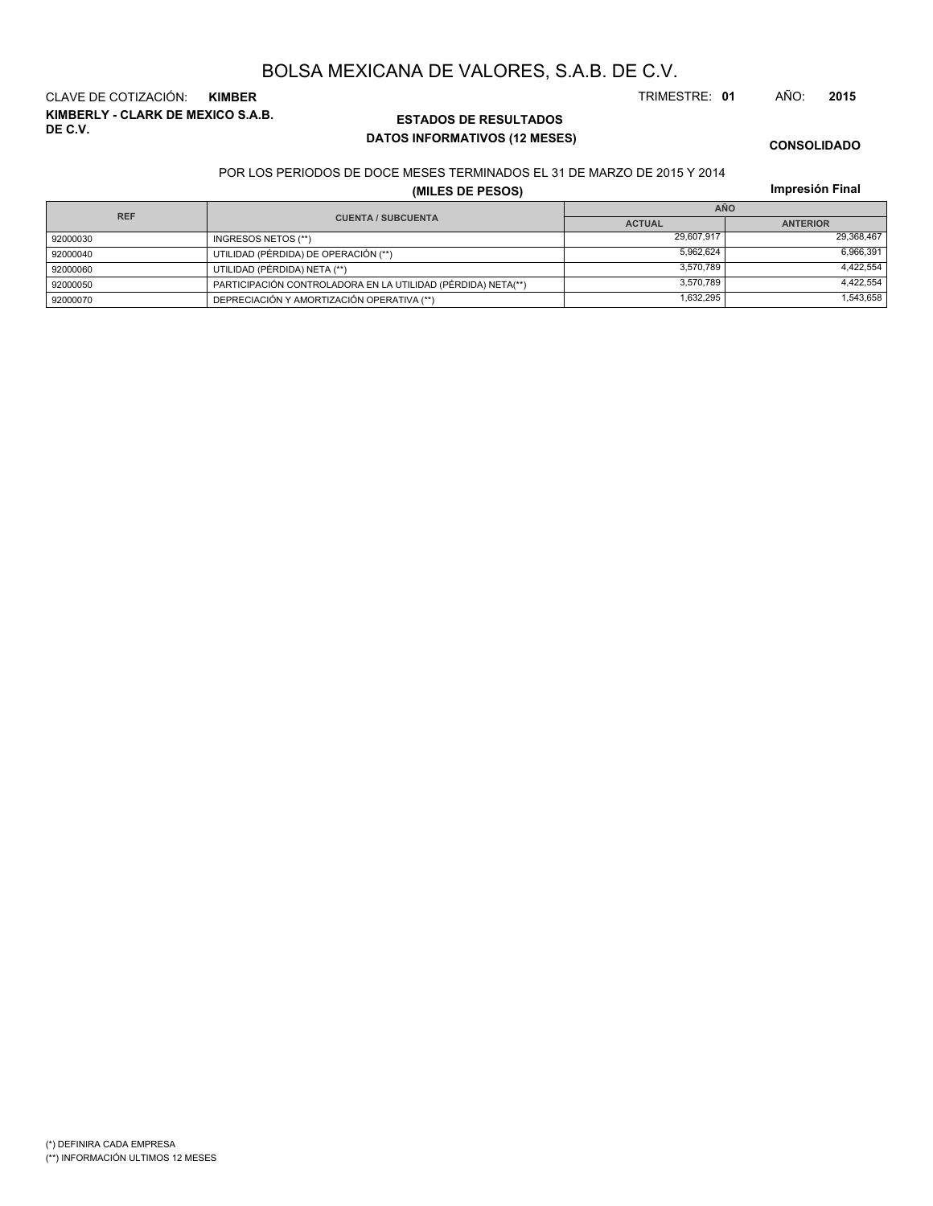**KIMBERLY - CLARK DE MEXICO S.A.B. DE C.V.** CLAVE DE COTIZACIÓN: **KIMBER** TRIMESTRE: **01** AÑO: **2015**

## **ESTADOS DE RESULTADOS DATOS INFORMATIVOS (12 MESES)**

**CONSOLIDADO**

#### POR LOS PERIODOS DE DOCE MESES TERMINADOS EL 31 DE MARZO DE 2015 Y 2014

**(MILES DE PESOS)**

**Impresión Final**

| <b>REF</b> |                                                              | <b>AÑO</b>    |                 |  |  |  |
|------------|--------------------------------------------------------------|---------------|-----------------|--|--|--|
|            | <b>CUENTA / SUBCUENTA</b>                                    | <b>ACTUAL</b> | <b>ANTERIOR</b> |  |  |  |
| 92000030   | INGRESOS NETOS (**)                                          | 29.607.917    | 29,368,467      |  |  |  |
| 92000040   | UTILIDAD (PÉRDIDA) DE OPERACIÓN (**)                         | 5.962.624     | 6,966,391       |  |  |  |
| 92000060   | UTILIDAD (PÉRDIDA) NETA (**)                                 | 3.570.789     | 4,422,554       |  |  |  |
| 92000050   | PARTICIPACIÓN CONTROLADORA EN LA UTILIDAD (PÉRDIDA) NETA(**) | 3.570.789     | 4,422,554       |  |  |  |
| 92000070   | DEPRECIACIÓN Y AMORTIZACIÓN OPERATIVA (**)                   | 1,632,295     | 1,543,658       |  |  |  |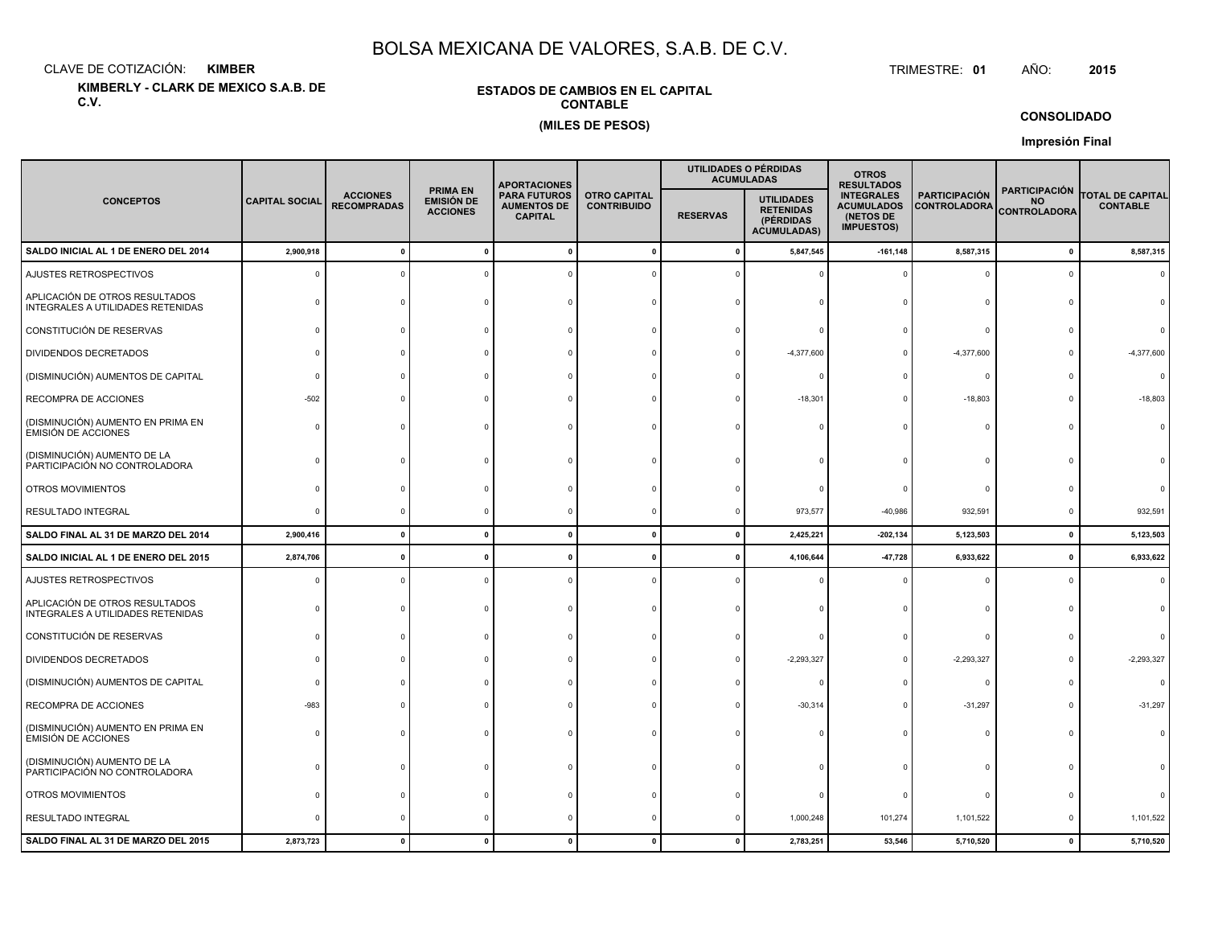CLAVE DE COTIZACIÓN:**KIMBER**: KIMBER TRIMESTRE:

**KIMBERLY - CLARK DE MEXICO S.A.B. DE C.V.**

#### **ESTADOS DE CAMBIOS EN EL CAPITALCONTABLE(MILES DE PESOS)**

TRIMESTRE: 01 AÑO: **<sup>2015</sup>**

**CONSOLIDADO**

**Impresión Final**

|                                                                     |                                                                                                                                                                                          |              |                                           | <b>APORTACIONES</b> |                                                                          |                                                                          | UTILIDADES O PÉRDIDAS<br><b>ACUMULADAS</b>  | <b>OTROS</b><br><b>RESULTADOS</b>                        |                                            |              |              |
|---------------------------------------------------------------------|------------------------------------------------------------------------------------------------------------------------------------------------------------------------------------------|--------------|-------------------------------------------|---------------------|--------------------------------------------------------------------------|--------------------------------------------------------------------------|---------------------------------------------|----------------------------------------------------------|--------------------------------------------|--------------|--------------|
| <b>CONCEPTOS</b>                                                    | <b>PRIMA EN</b><br><b>PARA FUTUROS</b><br><b>ACCIONES</b><br><b>EMISIÓN DE</b><br><b>CAPITAL SOCIAL</b><br><b>RECOMPRADAS</b><br><b>AUMENTOS DE</b><br><b>ACCIONES</b><br><b>CAPITAL</b> |              | <b>OTRO CAPITAL</b><br><b>CONTRIBUIDO</b> | <b>RESERVAS</b>     | <b>UTILIDADES</b><br><b>RETENIDAS</b><br>(PÉRDIDAS<br><b>ACUMULADAS)</b> | <b>INTEGRALES</b><br><b>ACUMULADOS</b><br>(NETOS DE<br><b>IMPUESTOS)</b> | <b>PARTICIPACIÓN</b><br><b>CONTROLADORA</b> | <b>PARTICIPACIÓN</b><br><b>NO</b><br><b>CONTROLADORA</b> | <b>TOTAL DE CAPITAL</b><br><b>CONTABLE</b> |              |              |
| SALDO INICIAL AL 1 DE ENERO DEL 2014                                | 2,900,918                                                                                                                                                                                | $\Omega$     | $\mathbf{0}$                              |                     | $\Omega$                                                                 | - 0                                                                      | 5,847,545                                   | $-161, 148$                                              | 8,587,315                                  | $\mathbf{0}$ | 8,587,315    |
| AJUSTES RETROSPECTIVOS                                              | - 0                                                                                                                                                                                      |              |                                           |                     |                                                                          |                                                                          |                                             |                                                          | $\Omega$                                   | $\Omega$     | $\Omega$     |
| APLICACIÓN DE OTROS RESULTADOS<br>INTEGRALES A UTILIDADES RETENIDAS |                                                                                                                                                                                          |              |                                           |                     |                                                                          |                                                                          |                                             |                                                          | $\Omega$                                   |              |              |
| CONSTITUCIÓN DE RESERVAS                                            |                                                                                                                                                                                          |              |                                           |                     |                                                                          |                                                                          |                                             |                                                          | $\Omega$                                   |              |              |
| <b>DIVIDENDOS DECRETADOS</b>                                        |                                                                                                                                                                                          |              |                                           |                     |                                                                          |                                                                          | $-4,377,600$                                |                                                          | $-4,377,600$                               |              | $-4,377,600$ |
| (DISMINUCIÓN) AUMENTOS DE CAPITAL                                   |                                                                                                                                                                                          |              |                                           |                     |                                                                          |                                                                          |                                             |                                                          | 0                                          |              | $\Omega$     |
| RECOMPRA DE ACCIONES                                                | $-502$                                                                                                                                                                                   |              |                                           |                     |                                                                          |                                                                          | $-18,301$                                   |                                                          | $-18,803$                                  | $\Omega$     | $-18,803$    |
| (DISMINUCIÓN) AUMENTO EN PRIMA EN<br><b>EMISIÓN DE ACCIONES</b>     |                                                                                                                                                                                          |              |                                           |                     |                                                                          |                                                                          |                                             |                                                          | 0                                          | $\Omega$     |              |
| (DISMINUCIÓN) AUMENTO DE LA<br>PARTICIPACIÓN NO CONTROLADORA        |                                                                                                                                                                                          |              |                                           |                     |                                                                          |                                                                          |                                             |                                                          | $\Omega$                                   |              |              |
| OTROS MOVIMIENTOS                                                   |                                                                                                                                                                                          |              |                                           |                     |                                                                          |                                                                          |                                             |                                                          | $\Omega$                                   |              |              |
| RESULTADO INTEGRAL                                                  |                                                                                                                                                                                          |              |                                           |                     |                                                                          |                                                                          | 973,577                                     | $-40,986$                                                | 932,591                                    | $\Omega$     | 932,591      |
| SALDO FINAL AL 31 DE MARZO DEL 2014                                 | 2,900,416                                                                                                                                                                                | $\mathbf{0}$ | $\mathbf{0}$                              |                     | $\mathbf{0}$                                                             | 0                                                                        | 2,425,221                                   | $-202, 134$                                              | 5,123,503                                  | $\mathbf{0}$ | 5,123,503    |
| SALDO INICIAL AL 1 DE ENERO DEL 2015                                | 2,874,706                                                                                                                                                                                | $\mathbf{0}$ |                                           |                     |                                                                          |                                                                          | 4,106,644                                   | $-47,728$                                                | 6,933,622                                  | $\mathbf 0$  | 6,933,622    |
| AJUSTES RETROSPECTIVOS                                              |                                                                                                                                                                                          |              |                                           |                     |                                                                          |                                                                          |                                             |                                                          | $\Omega$                                   | $\Omega$     |              |
| APLICACIÓN DE OTROS RESULTADOS<br>INTEGRALES A UTILIDADES RETENIDAS |                                                                                                                                                                                          |              |                                           |                     |                                                                          |                                                                          |                                             |                                                          | $\Omega$                                   |              |              |
| CONSTITUCIÓN DE RESERVAS                                            |                                                                                                                                                                                          |              |                                           |                     |                                                                          |                                                                          |                                             |                                                          | $\mathbf 0$                                |              |              |
| <b>DIVIDENDOS DECRETADOS</b>                                        |                                                                                                                                                                                          |              |                                           |                     |                                                                          |                                                                          | $-2,293,327$                                |                                                          | $-2,293,327$                               |              | $-2,293,327$ |
| (DISMINUCIÓN) AUMENTOS DE CAPITAL                                   |                                                                                                                                                                                          |              |                                           |                     |                                                                          |                                                                          |                                             |                                                          | $\mathbf{0}$                               |              |              |
| RECOMPRA DE ACCIONES                                                | -983                                                                                                                                                                                     |              |                                           |                     |                                                                          |                                                                          | $-30,314$                                   |                                                          | $-31,297$                                  |              | $-31,297$    |
| (DISMINUCIÓN) AUMENTO EN PRIMA EN<br><b>EMISIÓN DE ACCIONES</b>     |                                                                                                                                                                                          |              |                                           |                     |                                                                          |                                                                          |                                             |                                                          | $\Omega$                                   |              |              |
| (DISMINUCIÓN) AUMENTO DE LA<br>PARTICIPACIÓN NO CONTROLADORA        |                                                                                                                                                                                          |              |                                           |                     |                                                                          |                                                                          |                                             |                                                          | $\Omega$                                   |              |              |
| OTROS MOVIMIENTOS                                                   |                                                                                                                                                                                          |              |                                           |                     |                                                                          |                                                                          |                                             |                                                          | $\mathbf 0$                                |              |              |
| RESULTADO INTEGRAL                                                  |                                                                                                                                                                                          |              |                                           |                     |                                                                          |                                                                          | 1,000,248                                   | 101,274                                                  | 1,101,522                                  | 0            | 1,101,522    |
| SALDO FINAL AL 31 DE MARZO DEL 2015                                 | 2,873,723                                                                                                                                                                                | $\mathbf{r}$ |                                           |                     |                                                                          |                                                                          | 2,783,251                                   | 53,546                                                   | 5,710,520                                  | $\mathbf{0}$ | 5,710,520    |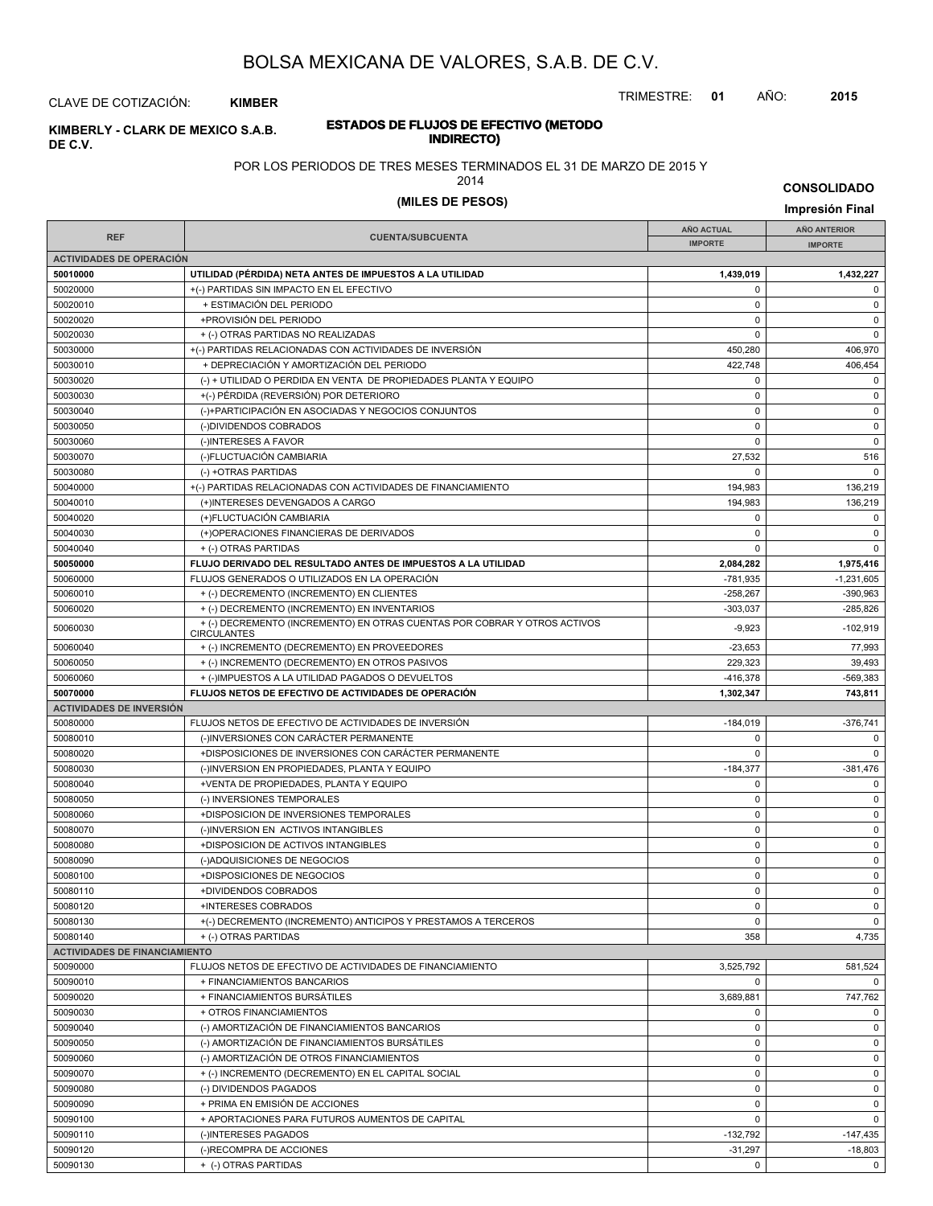TRIMESTRE: **01** AÑO: **2015**

**INDIRECTO) KIMBERLY - CLARK DE MEXICO S.A.B.** CLAVE DE COTIZACIÓN: **KIMBER**

**DE C.V.**

# **ESTADOS DE FLUJOS DE EFECTIVO (METODO**

POR LOS PERIODOS DE TRES MESES TERMINADOS EL 31 DE MARZO DE 2015 Y

2014

**CONSOLIDADO**

## **(MILES DE PESOS) Impresión Final**

|                                      |                                                                           |                   | $n$ presion Final   |
|--------------------------------------|---------------------------------------------------------------------------|-------------------|---------------------|
|                                      |                                                                           | <b>AÑO ACTUAL</b> | <b>AÑO ANTERIOR</b> |
| <b>REF</b>                           | <b>CUENTA/SUBCUENTA</b>                                                   | <b>IMPORTE</b>    | <b>IMPORTE</b>      |
| <b>ACTIVIDADES DE OPERACIÓN</b>      |                                                                           |                   |                     |
| 50010000                             | UTILIDAD (PÉRDIDA) NETA ANTES DE IMPUESTOS A LA UTILIDAD                  | 1,439,019         | 1,432,227           |
| 50020000                             | +(-) PARTIDAS SIN IMPACTO EN EL EFECTIVO                                  | $\Omega$          | 0                   |
| 50020010                             | + ESTIMACIÓN DEL PERIODO                                                  | $\Omega$          | $\mathbf 0$         |
| 50020020                             | +PROVISIÓN DEL PERIODO                                                    | 0                 | $\mathbf 0$         |
| 50020030                             | + (-) OTRAS PARTIDAS NO REALIZADAS                                        | $\Omega$          | $\mathsf 0$         |
| 50030000                             | +(-) PARTIDAS RELACIONADAS CON ACTIVIDADES DE INVERSIÓN                   | 450,280           | 406,970             |
| 50030010                             | + DEPRECIACIÓN Y AMORTIZACIÓN DEL PERIODO                                 | 422,748           | 406,454             |
| 50030020                             | (-) + UTILIDAD O PERDIDA EN VENTA DE PROPIEDADES PLANTA Y EQUIPO          | 0                 | $\mathbf 0$         |
| 50030030                             | +(-) PÉRDIDA (REVERSIÓN) POR DETERIORO                                    | 0                 | $\mathbf 0$         |
| 50030040                             | (-)+PARTICIPACIÓN EN ASOCIADAS Y NEGOCIOS CONJUNTOS                       | 0                 | $\mathbf 0$         |
| 50030050                             | (-)DIVIDENDOS COBRADOS                                                    | 0                 | $\mathbf 0$         |
| 50030060                             | (-)INTERESES A FAVOR                                                      | $\Omega$          | $\mathsf 0$         |
| 50030070                             | (-)FLUCTUACIÓN CAMBIARIA                                                  | 27,532            | 516                 |
| 50030080                             | (-) +OTRAS PARTIDAS                                                       | $\Omega$          | $\mathbf 0$         |
| 50040000                             | +(-) PARTIDAS RELACIONADAS CON ACTIVIDADES DE FINANCIAMIENTO              | 194,983           | 136,219             |
| 50040010                             | (+)INTERESES DEVENGADOS A CARGO                                           | 194,983           | 136,219             |
| 50040020                             | (+)FLUCTUACIÓN CAMBIARIA                                                  | 0                 | $\mathbf 0$         |
| 50040030                             | (+)OPERACIONES FINANCIERAS DE DERIVADOS                                   | $\Omega$          | $\mathbf 0$         |
| 50040040                             | + (-) OTRAS PARTIDAS                                                      | $\Omega$          | $\mathbf 0$         |
| 50050000                             | FLUJO DERIVADO DEL RESULTADO ANTES DE IMPUESTOS A LA UTILIDAD             | 2,084,282         | 1,975,416           |
| 50060000                             | FLUJOS GENERADOS O UTILIZADOS EN LA OPERACIÓN                             | $-781,935$        | $-1,231,605$        |
| 50060010                             | + (-) DECREMENTO (INCREMENTO) EN CLIENTES                                 | $-258,267$        | $-390,963$          |
| 50060020                             | + (-) DECREMENTO (INCREMENTO) EN INVENTARIOS                              | $-303,037$        | $-285,826$          |
| 50060030                             | + (-) DECREMENTO (INCREMENTO) EN OTRAS CUENTAS POR COBRAR Y OTROS ACTIVOS | $-9,923$          | $-102,919$          |
|                                      | <b>CIRCULANTES</b>                                                        |                   |                     |
| 50060040                             | + (-) INCREMENTO (DECREMENTO) EN PROVEEDORES                              | $-23,653$         | 77,993              |
| 50060050                             | + (-) INCREMENTO (DECREMENTO) EN OTROS PASIVOS                            | 229,323           | 39,493              |
| 50060060                             | + (-)IMPUESTOS A LA UTILIDAD PAGADOS O DEVUELTOS                          | $-416,378$        | $-569,383$          |
| 50070000                             | FLUJOS NETOS DE EFECTIVO DE ACTIVIDADES DE OPERACIÓN                      | 1,302,347         | 743,811             |
| <b>ACTIVIDADES DE INVERSIÓN</b>      |                                                                           |                   |                     |
| 50080000                             | FLUJOS NETOS DE EFECTIVO DE ACTIVIDADES DE INVERSIÓN                      | $-184,019$        | -376,741            |
| 50080010                             | (-)INVERSIONES CON CARÁCTER PERMANENTE                                    | $\Omega$          | $\mathbf 0$         |
| 50080020                             | +DISPOSICIONES DE INVERSIONES CON CARÁCTER PERMANENTE                     | 0                 | $\mathbf 0$         |
| 50080030                             | (-)INVERSION EN PROPIEDADES, PLANTA Y EQUIPO                              | $-184,377$        | $-381,476$          |
| 50080040                             | +VENTA DE PROPIEDADES, PLANTA Y EQUIPO                                    | $\Omega$          | $\mathbf 0$         |
| 50080050                             | (-) INVERSIONES TEMPORALES                                                | 0                 | $\mathbf 0$         |
| 50080060                             | +DISPOSICION DE INVERSIONES TEMPORALES                                    | 0                 | $\mathbf 0$         |
| 50080070                             | (-)INVERSION EN ACTIVOS INTANGIBLES                                       | $\mathbf 0$       | $\mathbf 0$         |
| 50080080                             | +DISPOSICION DE ACTIVOS INTANGIBLES                                       | 0                 | $\mathbf 0$         |
| 50080090                             | (-)ADQUISICIONES DE NEGOCIOS                                              | 0                 | $\mathbf 0$         |
| 50080100                             | +DISPOSICIONES DE NEGOCIOS                                                | 0                 | $\mathsf 0$         |
| 50080110                             | +DIVIDENDOS COBRADOS                                                      | 0                 | $\Omega$            |
| 50080120                             | +INTERESES COBRADOS                                                       | 0                 | $\mathbf 0$         |
| 50080130                             | +(-) DECREMENTO (INCREMENTO) ANTICIPOS Y PRESTAMOS A TERCEROS             | $\Omega$          | $\mathbf 0$         |
| 50080140                             | + (-) OTRAS PARTIDAS                                                      | 358               | 4,735               |
| <b>ACTIVIDADES DE FINANCIAMIENTO</b> |                                                                           |                   |                     |
| 50090000                             | FLUJOS NETOS DE EFECTIVO DE ACTIVIDADES DE FINANCIAMIENTO                 | 3,525,792         | 581,524             |
| 50090010                             | + FINANCIAMIENTOS BANCARIOS                                               | 0                 | $\Omega$            |
| 50090020                             | + FINANCIAMIENTOS BURSÁTILES                                              | 3,689,881         | 747,762             |
| 50090030                             | + OTROS FINANCIAMIENTOS                                                   | 0                 | $\mathbf 0$         |
| 50090040                             | (-) AMORTIZACIÓN DE FINANCIAMIENTOS BANCARIOS                             | 0                 | $\mathbf 0$         |
| 50090050                             | (-) AMORTIZACIÓN DE FINANCIAMIENTOS BURSÁTILES                            | 0                 | $\mathbf 0$         |
| 50090060                             | (-) AMORTIZACIÓN DE OTROS FINANCIAMIENTOS                                 | 0                 | $\mathbf 0$         |
| 50090070                             | + (-) INCREMENTO (DECREMENTO) EN EL CAPITAL SOCIAL                        | 0                 | $\mathbf 0$         |
| 50090080                             | (-) DIVIDENDOS PAGADOS                                                    | 0                 | $\mathbf 0$         |
| 50090090                             | + PRIMA EN EMISIÓN DE ACCIONES                                            | 0                 | $\mathbf 0$         |
| 50090100                             | + APORTACIONES PARA FUTUROS AUMENTOS DE CAPITAL                           | 0                 | $\mathbf 0$         |
| 50090110                             | (-)INTERESES PAGADOS                                                      | $-132,792$        | $-147,435$          |
| 50090120                             | (-)RECOMPRA DE ACCIONES                                                   | $-31,297$         | $-18,803$           |

 $\begin{array}{|c|c|c|c|c|}\n 50090130 & & + & (\cdot) \text{OTRAS PARTIDAS} \end{array}$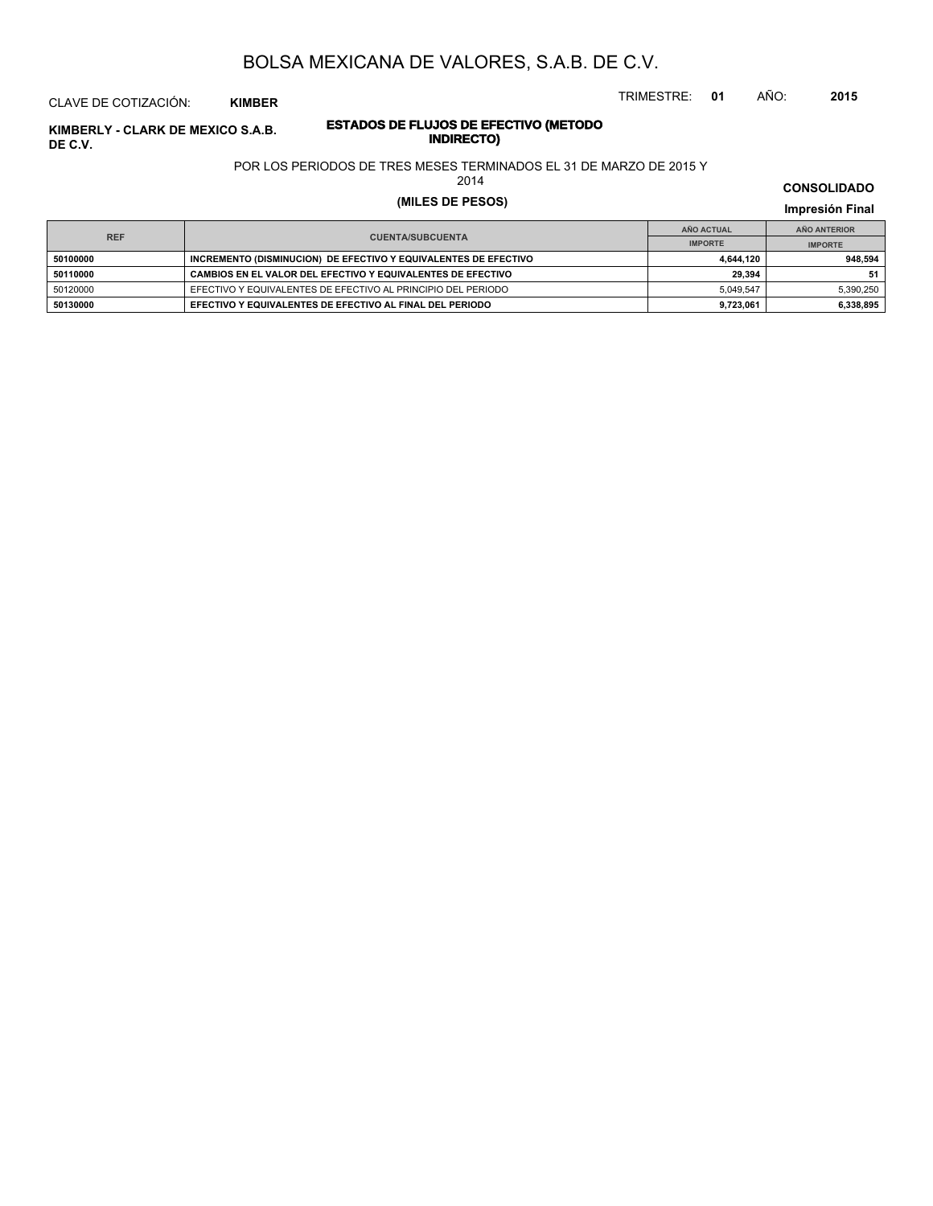TRIMESTRE: **01** AÑO: **2015**

### CLAVE DE COTIZACIÓN: **KIMBER**

## **ESTADOS DE FLUJOS DE EFECTIVO (METODO INDIRECTO) KIMBERLY - CLARK DE MEXICO S.A.B. DE C.V.**

#### POR LOS PERIODOS DE TRES MESES TERMINADOS EL 31 DE MARZO DE 2015 Y

2014

# **(MILES DE PESOS) Impresión Final**

|            |                                                                 | AÑO ACTUAL     | AÑO ANTERIOR   |  |
|------------|-----------------------------------------------------------------|----------------|----------------|--|
| <b>REF</b> | <b>CUENTA/SUBCUENTA</b>                                         | <b>IMPORTE</b> | <b>IMPORTE</b> |  |
| 50100000   | INCREMENTO (DISMINUCION) DE EFECTIVO Y EQUIVALENTES DE EFECTIVO | 4.644.120      | 948.594        |  |
| 50110000   | CAMBIOS EN EL VALOR DEL EFECTIVO Y EQUIVALENTES DE EFECTIVO     | 29.394         | 51             |  |
| 50120000   | EFECTIVO Y EQUIVALENTES DE EFECTIVO AL PRINCIPIO DEL PERIODO    | 5.049.547      | 5.390.250      |  |
| 50130000   | EFECTIVO Y EQUIVALENTES DE EFECTIVO AL FINAL DEL PERIODO        | 9.723.061      | 6,338,895      |  |

**CONSOLIDADO**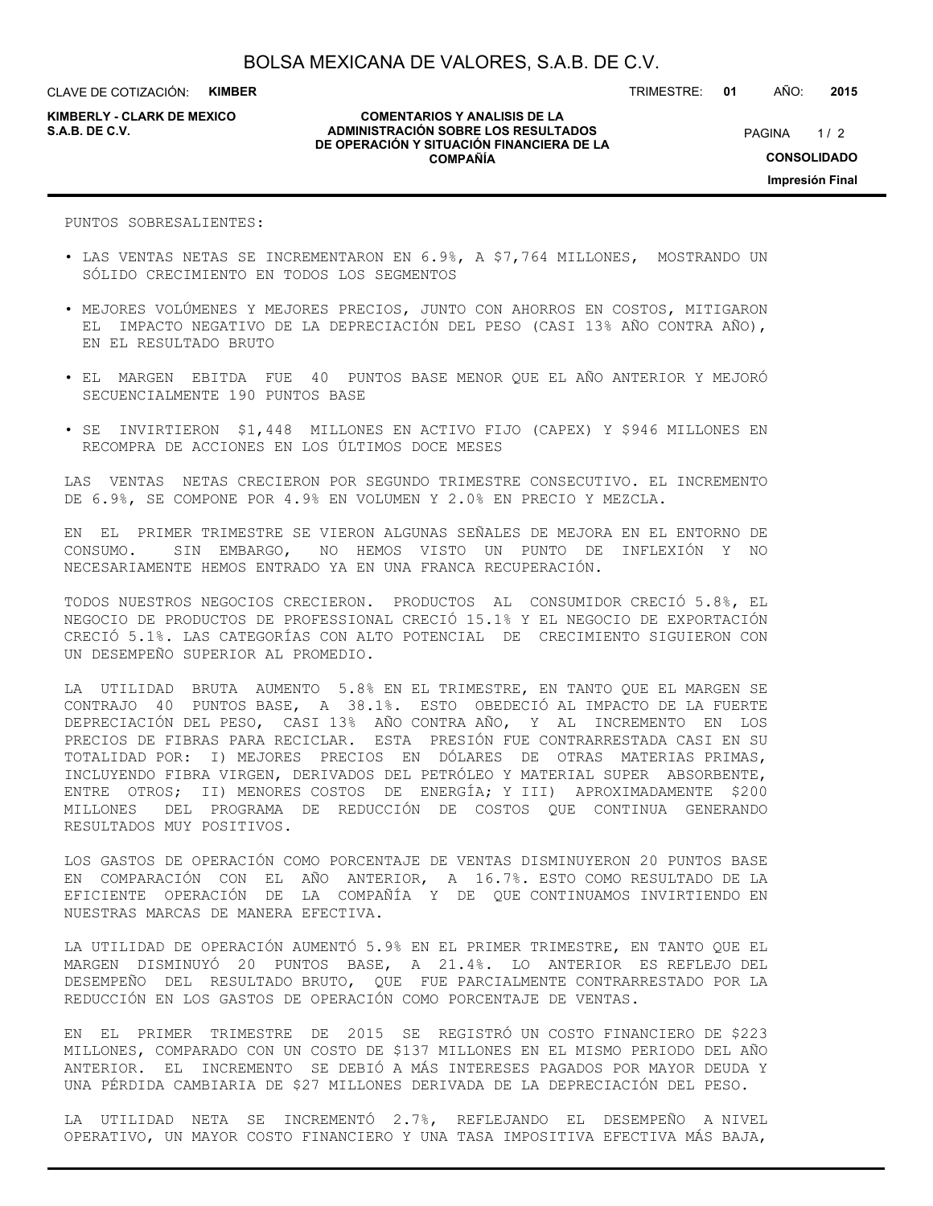**KIMBERLY - CLARK DE MEXICO**

#### **COMENTARIOS Y ANALISIS DE LA ADMINISTRACIÓN SOBRE LOS RESULTADOS S.A.B. DE C.V.** PAGINA / 2 **DE OPERACIÓN Y SITUACIÓN FINANCIERA DE LA COMPAÑÍA**

 $1/2$ **CONSOLIDADO Impresión Final**

TRIMESTRE: **01** AÑO: **2015**

PUNTOS SOBRESALIENTES:

- LAS VENTAS NETAS SE INCREMENTARON EN 6.9%, A \$7,764 MILLONES, MOSTRANDO UN SÓLIDO CRECIMIENTO EN TODOS LOS SEGMENTOS
- MEJORES VOLÚMENES Y MEJORES PRECIOS, JUNTO CON AHORROS EN COSTOS, MITIGARON EL IMPACTO NEGATIVO DE LA DEPRECIACIÓN DEL PESO (CASI 13% AÑO CONTRA AÑO), EN EL RESULTADO BRUTO
- EL MARGEN EBITDA FUE 40 PUNTOS BASE MENOR QUE EL AÑO ANTERIOR Y MEJORÓ SECUENCIALMENTE 190 PUNTOS BASE
- SE INVIRTIERON \$1,448 MILLONES EN ACTIVO FIJO (CAPEX) Y \$946 MILLONES EN RECOMPRA DE ACCIONES EN LOS ÚLTIMOS DOCE MESES

LAS VENTAS NETAS CRECIERON POR SEGUNDO TRIMESTRE CONSECUTIVO. EL INCREMENTO DE 6.9%, SE COMPONE POR 4.9% EN VOLUMEN Y 2.0% EN PRECIO Y MEZCLA.

EN EL PRIMER TRIMESTRE SE VIERON ALGUNAS SEÑALES DE MEJORA EN EL ENTORNO DE CONSUMO. SIN EMBARGO, NO HEMOS VISTO UN PUNTO DE INFLEXIÓN Y NO NECESARIAMENTE HEMOS ENTRADO YA EN UNA FRANCA RECUPERACIÓN.

TODOS NUESTROS NEGOCIOS CRECIERON. PRODUCTOS AL CONSUMIDOR CRECIÓ 5.8%, EL NEGOCIO DE PRODUCTOS DE PROFESSIONAL CRECIÓ 15.1% Y EL NEGOCIO DE EXPORTACIÓN CRECIÓ 5.1%. LAS CATEGORÍAS CON ALTO POTENCIAL DE CRECIMIENTO SIGUIERON CON UN DESEMPEÑO SUPERIOR AL PROMEDIO.

LA UTILIDAD BRUTA AUMENTO 5.8% EN EL TRIMESTRE, EN TANTO QUE EL MARGEN SE CONTRAJO 40 PUNTOS BASE, A 38.1%. ESTO OBEDECIÓ AL IMPACTO DE LA FUERTE DEPRECIACIÓN DEL PESO, CASI 13% AÑO CONTRA AÑO, Y AL INCREMENTO EN LOS PRECIOS DE FIBRAS PARA RECICLAR. ESTA PRESIÓN FUE CONTRARRESTADA CASI EN SU TOTALIDAD POR: I) MEJORES PRECIOS EN DÓLARES DE OTRAS MATERIAS PRIMAS, INCLUYENDO FIBRA VIRGEN, DERIVADOS DEL PETRÓLEO Y MATERIAL SUPER ABSORBENTE, ENTRE OTROS; II) MENORES COSTOS DE ENERGÍA; Y III) APROXIMADAMENTE \$200 MILLONES DEL PROGRAMA DE REDUCCIÓN DE COSTOS QUE CONTINUA GENERANDO RESULTADOS MUY POSITIVOS.

LOS GASTOS DE OPERACIÓN COMO PORCENTAJE DE VENTAS DISMINUYERON 20 PUNTOS BASE EN COMPARACIÓN CON EL AÑO ANTERIOR, A 16.7%. ESTO COMO RESULTADO DE LA EFICIENTE OPERACIÓN DE LA COMPAÑÍA Y DE QUE CONTINUAMOS INVIRTIENDO EN NUESTRAS MARCAS DE MANERA EFECTIVA.

LA UTILIDAD DE OPERACIÓN AUMENTÓ 5.9% EN EL PRIMER TRIMESTRE, EN TANTO QUE EL MARGEN DISMINUYÓ 20 PUNTOS BASE, A 21.4%. LO ANTERIOR ES REFLEJO DEL DESEMPEÑO DEL RESULTADO BRUTO, QUE FUE PARCIALMENTE CONTRARRESTADO POR LA REDUCCIÓN EN LOS GASTOS DE OPERACIÓN COMO PORCENTAJE DE VENTAS.

EN EL PRIMER TRIMESTRE DE 2015 SE REGISTRÓ UN COSTO FINANCIERO DE \$223 MILLONES, COMPARADO CON UN COSTO DE \$137 MILLONES EN EL MISMO PERIODO DEL AÑO ANTERIOR. EL INCREMENTO SE DEBIÓ A MÁS INTERESES PAGADOS POR MAYOR DEUDA Y UNA PÉRDIDA CAMBIARIA DE \$27 MILLONES DERIVADA DE LA DEPRECIACIÓN DEL PESO.

LA UTILIDAD NETA SE INCREMENTÓ 2.7%, REFLEJANDO EL DESEMPEÑO A NIVEL OPERATIVO, UN MAYOR COSTO FINANCIERO Y UNA TASA IMPOSITIVA EFECTIVA MÁS BAJA,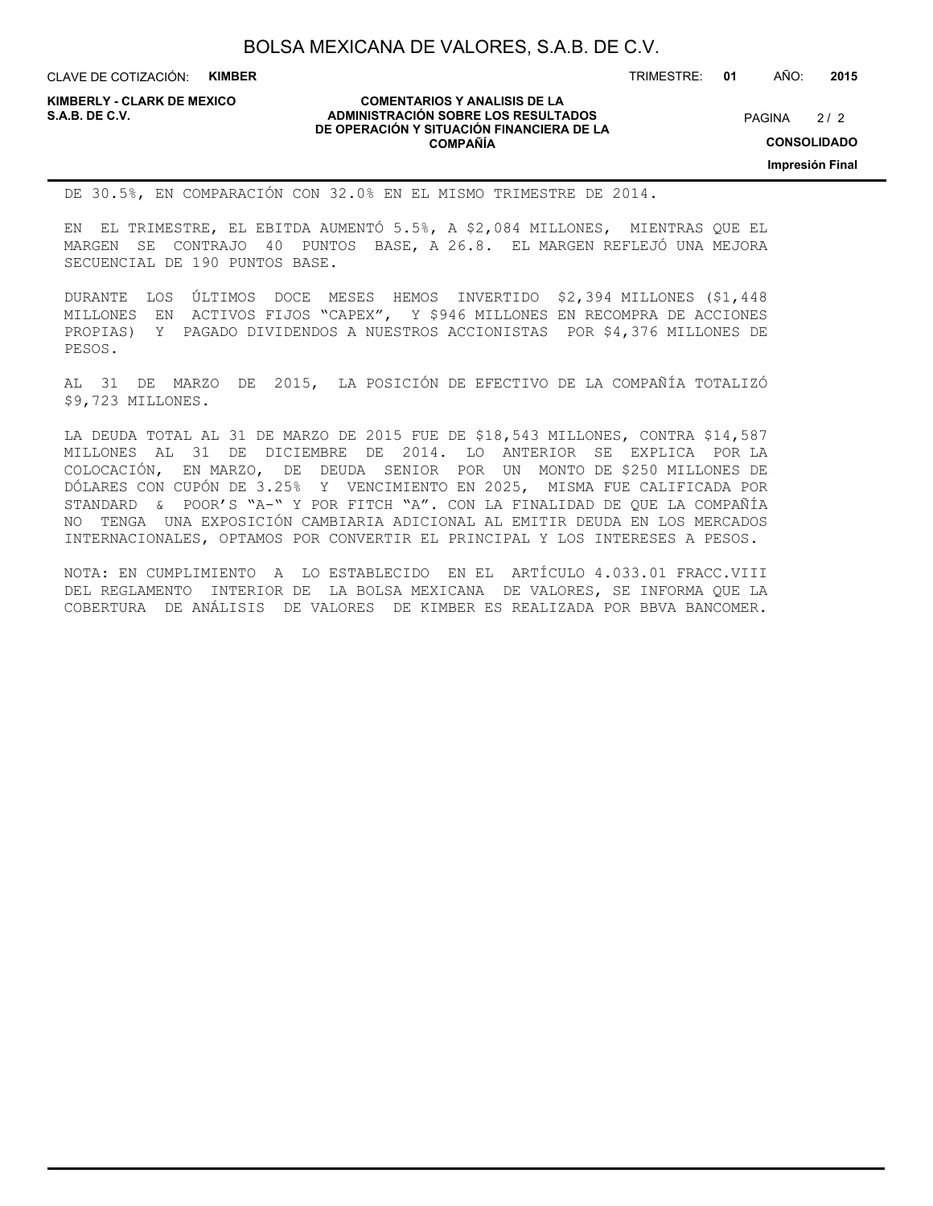CLAVE DE COTIZACIÓN: **KIMBER**

**KIMBERLY - CLARK DE MEXICO**

#### **COMENTARIOS Y ANALISIS DE LA ADMINISTRACIÓN SOBRE LOS RESULTADOS S.A.B. DE C.V.** PAGINA / 2 **DE OPERACIÓN Y SITUACIÓN FINANCIERA DE LA COMPAÑÍA**

TRIMESTRE: **01** AÑO: **2015**

 $2/2$ 

**CONSOLIDADO**

**Impresión Final**

DE 30.5%, EN COMPARACIÓN CON 32.0% EN EL MISMO TRIMESTRE DE 2014.

EN EL TRIMESTRE, EL EBITDA AUMENTÓ 5.5%, A \$2,084 MILLONES, MIENTRAS QUE EL MARGEN SE CONTRAJO 40 PUNTOS BASE, A 26.8. EL MARGEN REFLEJÓ UNA MEJORA SECUENCIAL DE 190 PUNTOS BASE.

DURANTE LOS ÚLTIMOS DOCE MESES HEMOS INVERTIDO \$2,394 MILLONES (\$1,448 MILLONES EN ACTIVOS FIJOS "CAPEX", Y \$946 MILLONES EN RECOMPRA DE ACCIONES PROPIAS) Y PAGADO DIVIDENDOS A NUESTROS ACCIONISTAS POR \$4,376 MILLONES DE PESOS.

AL 31 DE MARZO DE 2015, LA POSICIÓN DE EFECTIVO DE LA COMPAÑÍA TOTALIZÓ \$9,723 MILLONES.

LA DEUDA TOTAL AL 31 DE MARZO DE 2015 FUE DE \$18,543 MILLONES, CONTRA \$14,587 MILLONES AL 31 DE DICIEMBRE DE 2014. LO ANTERIOR SE EXPLICA POR LA COLOCACIÓN, EN MARZO, DE DEUDA SENIOR POR UN MONTO DE \$250 MILLONES DE DÓLARES CON CUPÓN DE 3.25% Y VENCIMIENTO EN 2025, MISMA FUE CALIFICADA POR STANDARD & POOR'S "A-" Y POR FITCH "A". CON LA FINALIDAD DE QUE LA COMPAÑÍA NO TENGA UNA EXPOSICIÓN CAMBIARIA ADICIONAL AL EMITIR DEUDA EN LOS MERCADOS INTERNACIONALES, OPTAMOS POR CONVERTIR EL PRINCIPAL Y LOS INTERESES A PESOS.

NOTA: EN CUMPLIMIENTO A LO ESTABLECIDO EN EL ARTÍCULO 4.033.01 FRACC.VIII DEL REGLAMENTO INTERIOR DE LA BOLSA MEXICANA DE VALORES, SE INFORMA QUE LA COBERTURA DE ANÁLISIS DE VALORES DE KIMBER ES REALIZADA POR BBVA BANCOMER.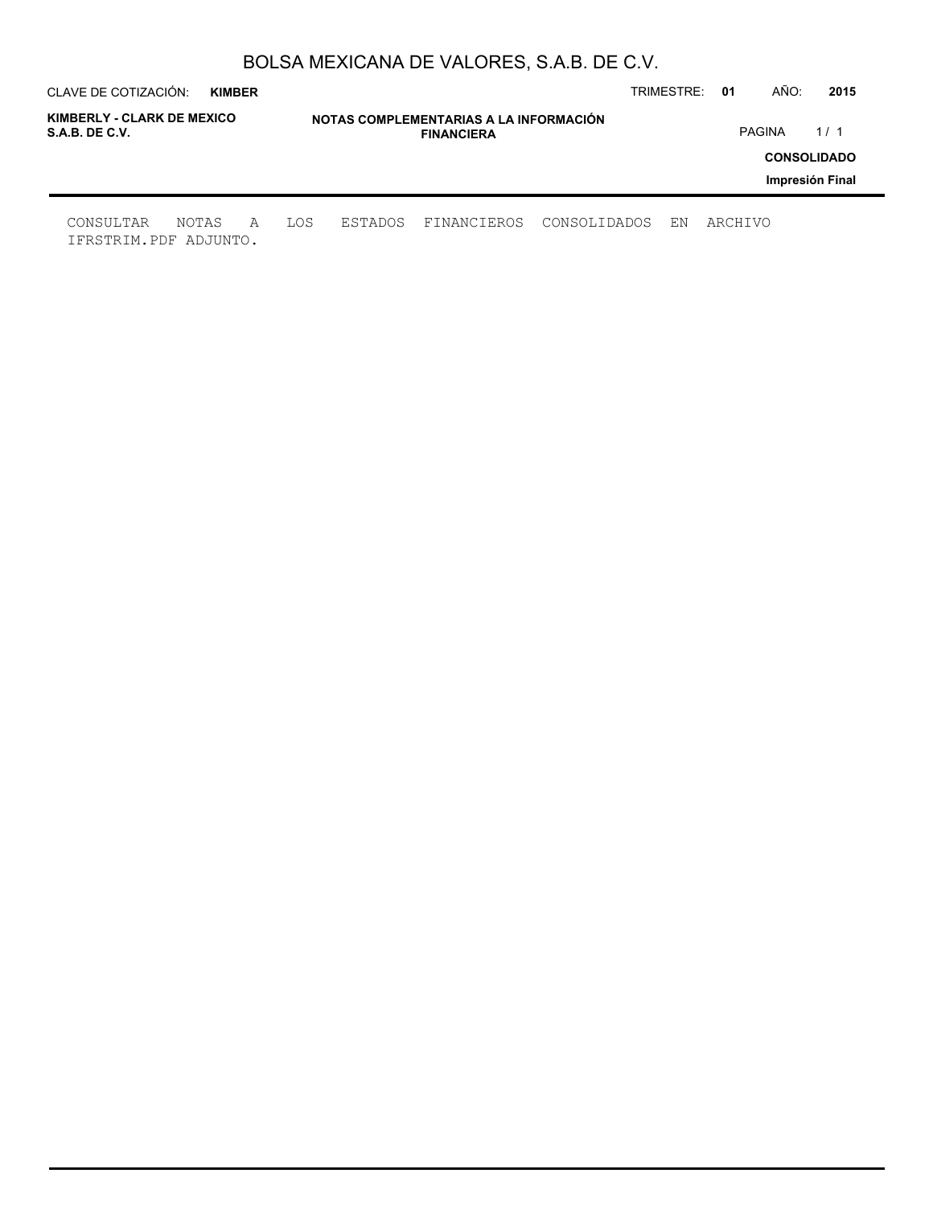| CLAVE DE COTIZACIÓN:                         | <b>KIMBER</b> |   |     |                                                             |             |              | TRIMESTRE: | 01      | AÑO:          | 2015               |
|----------------------------------------------|---------------|---|-----|-------------------------------------------------------------|-------------|--------------|------------|---------|---------------|--------------------|
| KIMBERLY - CLARK DE MEXICO<br>S.A.B. DE C.V. |               |   |     | NOTAS COMPLEMENTARIAS A LA INFORMACIÓN<br><b>FINANCIERA</b> |             |              |            |         | <b>PAGINA</b> | 1/1                |
|                                              |               |   |     |                                                             |             |              |            |         |               | <b>CONSOLIDADO</b> |
|                                              |               |   |     |                                                             |             |              |            |         |               | Impresión Final    |
| CONSULTAR<br>IFRSTRIM.PDF ADJUNTO.           | NOTAS         | A | LOS | ESTADOS                                                     | FINANCIEROS | CONSOLIDADOS | EN         | ARCHIVO |               |                    |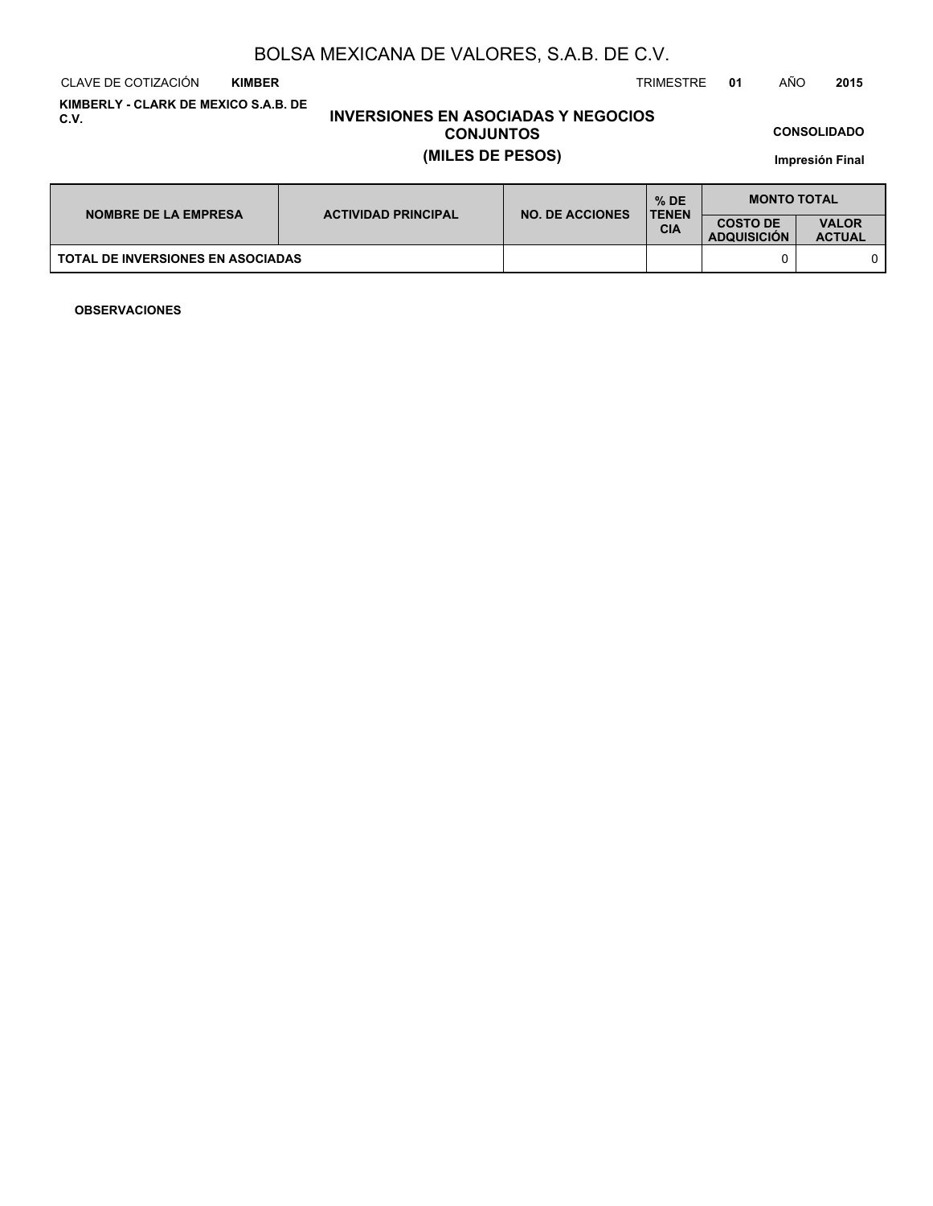CLAVE DE COTIZACIÓN TRIMESTRE **01** AÑO **2015 KIMBER**

**KIMBERLY - CLARK DE MEXICO S.A.B. DE C.V.**

## **INVERSIONES EN ASOCIADAS Y NEGOCIOS CONJUNTOS (MILES DE PESOS)**

**CONSOLIDADO**

**Impresión Final**

| <b>NOMBRE DE LA EMPRESA</b>              | <b>ACTIVIDAD PRINCIPAL</b> | <b>NO. DE ACCIONES</b> | $%$ DE<br><b>TENEN</b> | <b>MONTO TOTAL</b>                    |                               |  |
|------------------------------------------|----------------------------|------------------------|------------------------|---------------------------------------|-------------------------------|--|
|                                          |                            |                        | <b>CIA</b>             | <b>COSTO DE</b><br><b>ADQUISICION</b> | <b>VALOR</b><br><b>ACTUAL</b> |  |
| <b>TOTAL DE INVERSIONES EN ASOCIADAS</b> |                            |                        |                        |                                       |                               |  |

**OBSERVACIONES**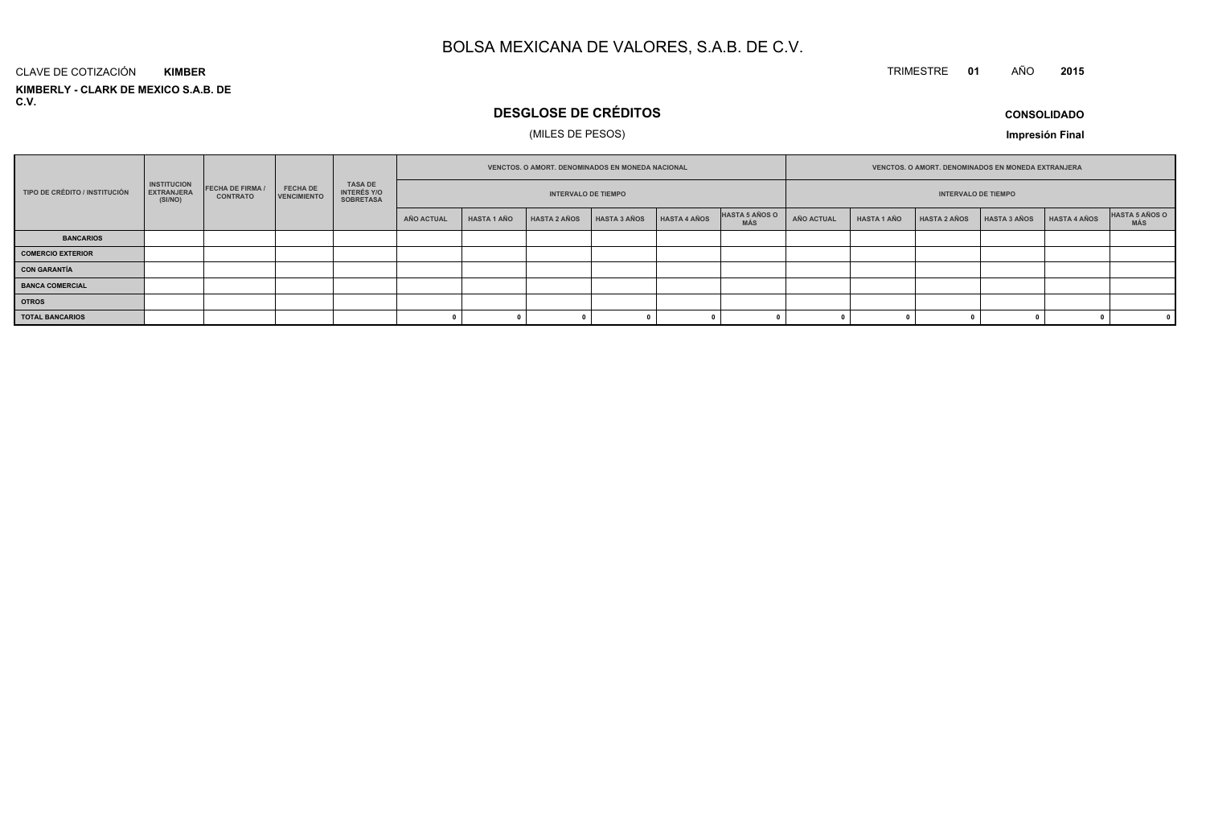#### TRIMESTRE **<sup>01</sup>** AÑO**<sup>2015</sup>**

**KIMBERLY - CLARK DE MEXICO S.A.B. DE C.V.**CLAVE DE COTIZACIÓN**KIMBER**

# **DESGLOSE DE CRÉDITOS**

## (MILES DE PESOS)

**CONSOLIDADO**

**Impresión Final**

|                               |                                                    |                                            |                                       | <b>VENCTOS, O AMORT, DENOMINADOS EN MONEDA NACIONAL</b>  |                            |                    |                     |              | <b>VENCTOS, O AMORT, DENOMINADOS EN MONEDA EXTRANJERA</b> |                              |            |                    |                     |                     |              |                       |
|-------------------------------|----------------------------------------------------|--------------------------------------------|---------------------------------------|----------------------------------------------------------|----------------------------|--------------------|---------------------|--------------|-----------------------------------------------------------|------------------------------|------------|--------------------|---------------------|---------------------|--------------|-----------------------|
| TIPO DE CRÉDITO / INSTITUCIÓN | <b>INSTITUCION</b><br><b>EXTRANJERA</b><br>(SI/NO) | <b>FECHA DE FIRMA /</b><br><b>CONTRATO</b> | <b>FECHA DE</b><br><b>VENCIMIENTO</b> | <b>TASA DE</b><br><b>INTERÉS Y/O</b><br><b>SOBRETASA</b> | <b>INTERVALO DE TIEMPO</b> |                    |                     |              |                                                           | <b>INTERVALO DE TIEMPO</b>   |            |                    |                     |                     |              |                       |
|                               |                                                    |                                            |                                       |                                                          | AÑO ACTUAL                 | <b>HASTA 1 AÑO</b> | <b>HASTA 2 AÑOS</b> | HASTA 3 AÑOS | HASTA 4 AÑOS                                              | HASTA 5 AÑOS O<br><b>MÁS</b> | AÑO ACTUAL | <b>HASTA 1 AÑO</b> | <b>HASTA 2 AÑOS</b> | <b>HASTA 3 AÑOS</b> | HASTA 4 AÑOS | HASTA 5 AÑOS O<br>MÁS |
| <b>BANCARIOS</b>              |                                                    |                                            |                                       |                                                          |                            |                    |                     |              |                                                           |                              |            |                    |                     |                     |              |                       |
| <b>COMERCIO EXTERIOR</b>      |                                                    |                                            |                                       |                                                          |                            |                    |                     |              |                                                           |                              |            |                    |                     |                     |              |                       |
| <b>CON GARANTÍA</b>           |                                                    |                                            |                                       |                                                          |                            |                    |                     |              |                                                           |                              |            |                    |                     |                     |              |                       |
| <b>BANCA COMERCIAL</b>        |                                                    |                                            |                                       |                                                          |                            |                    |                     |              |                                                           |                              |            |                    |                     |                     |              |                       |
| <b>OTROS</b>                  |                                                    |                                            |                                       |                                                          |                            |                    |                     |              |                                                           |                              |            |                    |                     |                     |              |                       |
| <b>TOTAL BANCARIOS</b>        |                                                    |                                            |                                       |                                                          |                            |                    |                     |              |                                                           |                              |            |                    |                     |                     |              | $^{\circ}$            |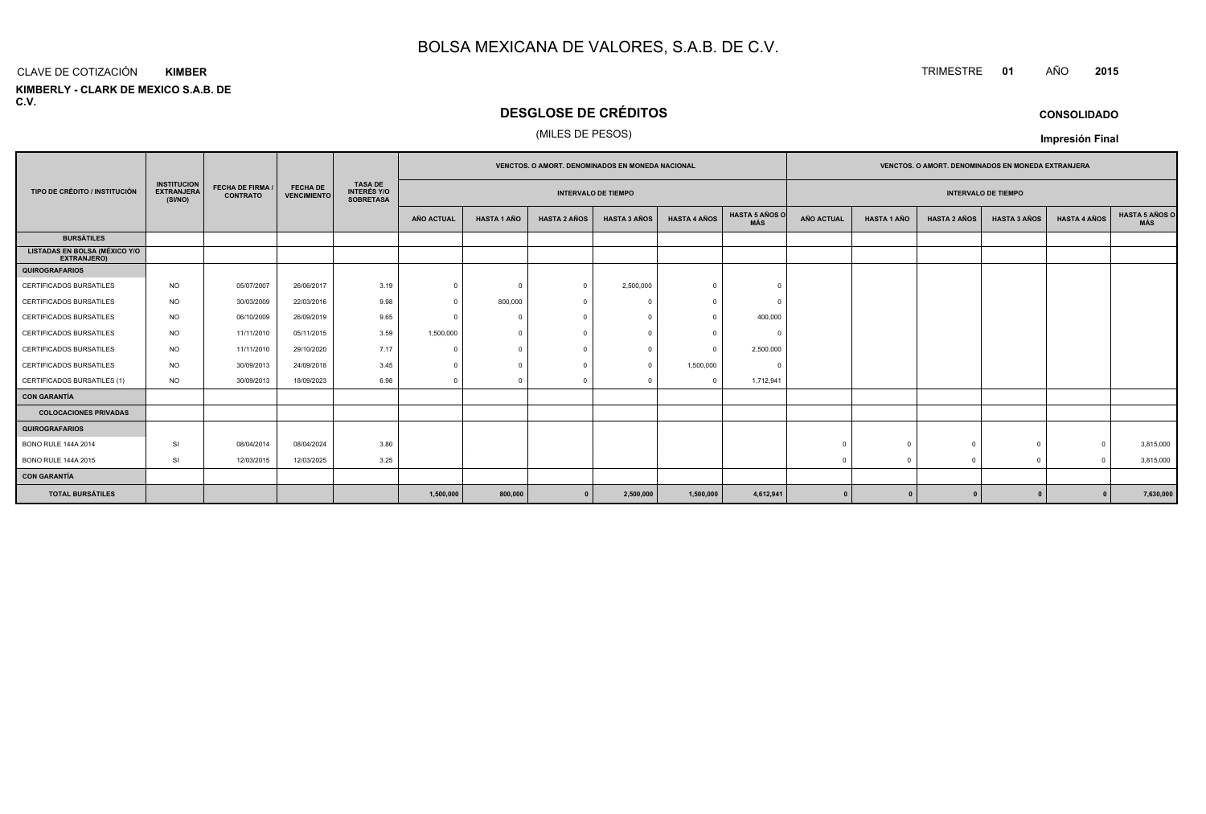#### CLAVE DE COTIZACIÓN**KIMBER**

**KIMBERLY - CLARK DE MEXICO S.A.B. DE C.V.**

# **DESGLOSE DE CRÉDITOS**

## (MILES DE PESOS)

|                                                            |                                                    |                                            |                                       |                                                          |                   |                    |                     | VENCTOS. O AMORT. DENOMINADOS EN MONEDA NACIONAL |                     |                              | VENCTOS. O AMORT. DENOMINADOS EN MONEDA EXTRANJERA |                    |                     |                     |                     |                                     |
|------------------------------------------------------------|----------------------------------------------------|--------------------------------------------|---------------------------------------|----------------------------------------------------------|-------------------|--------------------|---------------------|--------------------------------------------------|---------------------|------------------------------|----------------------------------------------------|--------------------|---------------------|---------------------|---------------------|-------------------------------------|
| TIPO DE CRÉDITO / INSTITUCIÓN                              | <b>INSTITUCION</b><br><b>EXTRANJERA</b><br>(SI/NO) | <b>FECHA DE FIRMA /</b><br><b>CONTRATO</b> | <b>FECHA DE</b><br><b>VENCIMIENTO</b> | <b>TASA DE</b><br><b>INTERÉS Y/O</b><br><b>SOBRETASA</b> |                   |                    |                     | <b>INTERVALO DE TIEMPO</b>                       |                     |                              | <b>INTERVALO DE TIEMPO</b>                         |                    |                     |                     |                     |                                     |
|                                                            |                                                    |                                            |                                       |                                                          | <b>AÑO ACTUAL</b> | <b>HASTA 1 AÑO</b> | <b>HASTA 2 AÑOS</b> | <b>HASTA 3 AÑOS</b>                              | <b>HASTA 4 AÑOS</b> | <b>HASTA 5 AÑOS O</b><br>MÁS | <b>AÑO ACTUAL</b>                                  | <b>HASTA 1 AÑO</b> | <b>HASTA 2 AÑOS</b> | <b>HASTA 3 AÑOS</b> | <b>HASTA 4 AÑOS</b> | <b>HASTA 5 AÑOS C</b><br><b>MÁS</b> |
| <b>BURSÁTILES</b>                                          |                                                    |                                            |                                       |                                                          |                   |                    |                     |                                                  |                     |                              |                                                    |                    |                     |                     |                     |                                     |
| <b>LISTADAS EN BOLSA (MÉXICO Y/O</b><br><b>EXTRANJERO)</b> |                                                    |                                            |                                       |                                                          |                   |                    |                     |                                                  |                     |                              |                                                    |                    |                     |                     |                     |                                     |
| <b>QUIROGRAFARIOS</b>                                      |                                                    |                                            |                                       |                                                          |                   |                    |                     |                                                  |                     |                              |                                                    |                    |                     |                     |                     |                                     |
| <b>CERTIFICADOS BURSATILES</b>                             | <b>NO</b>                                          | 05/07/2007                                 | 26/06/2017                            | 3.19                                                     | $\Omega$          | $\Omega$           | $\Omega$            | 2,500,000                                        |                     |                              |                                                    |                    |                     |                     |                     |                                     |
| <b>CERTIFICADOS BURSATILES</b>                             | <b>NO</b>                                          | 30/03/2009                                 | 22/03/2016                            | 9.98                                                     | $\Omega$          | 800,000            |                     |                                                  |                     |                              |                                                    |                    |                     |                     |                     |                                     |
| CERTIFICADOS BURSATILES                                    | <b>NO</b>                                          | 06/10/2009                                 | 26/09/2019                            | 9.65                                                     |                   | $\Omega$           |                     |                                                  |                     | 400,000                      |                                                    |                    |                     |                     |                     |                                     |
| <b>CERTIFICADOS BURSATILES</b>                             | <b>NO</b>                                          | 11/11/2010                                 | 05/11/2015                            | 3.59                                                     | 1,500,000         | $\Omega$           |                     |                                                  |                     |                              |                                                    |                    |                     |                     |                     |                                     |
| CERTIFICADOS BURSATILES                                    | <b>NO</b>                                          | 11/11/2010                                 | 29/10/2020                            | 7.17                                                     | $\Omega$          | $\Omega$           |                     |                                                  | $\Omega$            | 2,500,000                    |                                                    |                    |                     |                     |                     |                                     |
| CERTIFICADOS BURSATILES                                    | <b>NO</b>                                          | 30/09/2013                                 | 24/09/2018                            | 3.45                                                     |                   |                    |                     |                                                  | 1,500,000           |                              |                                                    |                    |                     |                     |                     |                                     |
| CERTIFICADOS BURSATILES (1)                                | <b>NO</b>                                          | 30/09/2013                                 | 18/09/2023                            | 6.98                                                     | $\Omega$          | $\mathbf{0}$       | -0                  |                                                  | $\Omega$            | 1,712,941                    |                                                    |                    |                     |                     |                     |                                     |
| CON GARANTÍA                                               |                                                    |                                            |                                       |                                                          |                   |                    |                     |                                                  |                     |                              |                                                    |                    |                     |                     |                     |                                     |
| <b>COLOCACIONES PRIVADAS</b>                               |                                                    |                                            |                                       |                                                          |                   |                    |                     |                                                  |                     |                              |                                                    |                    |                     |                     |                     |                                     |
| QUIROGRAFARIOS                                             |                                                    |                                            |                                       |                                                          |                   |                    |                     |                                                  |                     |                              |                                                    |                    |                     |                     |                     |                                     |
| <b>BONO RULE 144A 2014</b>                                 | <b>SI</b>                                          | 08/04/2014                                 | 08/04/2024                            | 3.80                                                     |                   |                    |                     |                                                  |                     |                              | $\Omega$                                           |                    |                     | $\Omega$            | $\Omega$            | 3,815,000                           |
| <b>BONO RULE 144A 2015</b>                                 | <b>SI</b>                                          | 12/03/2015                                 | 12/03/2025                            | 3.25                                                     |                   |                    |                     |                                                  |                     |                              |                                                    |                    |                     | $\Omega$            | $\Omega$            | 3,815,000                           |
| CON GARANTÍA                                               |                                                    |                                            |                                       |                                                          |                   |                    |                     |                                                  |                     |                              |                                                    |                    |                     |                     |                     |                                     |
| <b>TOTAL BURSÁTILES</b>                                    |                                                    |                                            |                                       |                                                          | 1,500,000         | 800,000            |                     | 2,500,000                                        | 1,500,000           | 4,612,941                    | $\Omega$                                           |                    |                     |                     |                     | 7,630,000                           |

## **CONSOLIDADO**

**Impresión Final**

TRIMESTRE **<sup>01</sup>** AÑO **<sup>2015</sup>**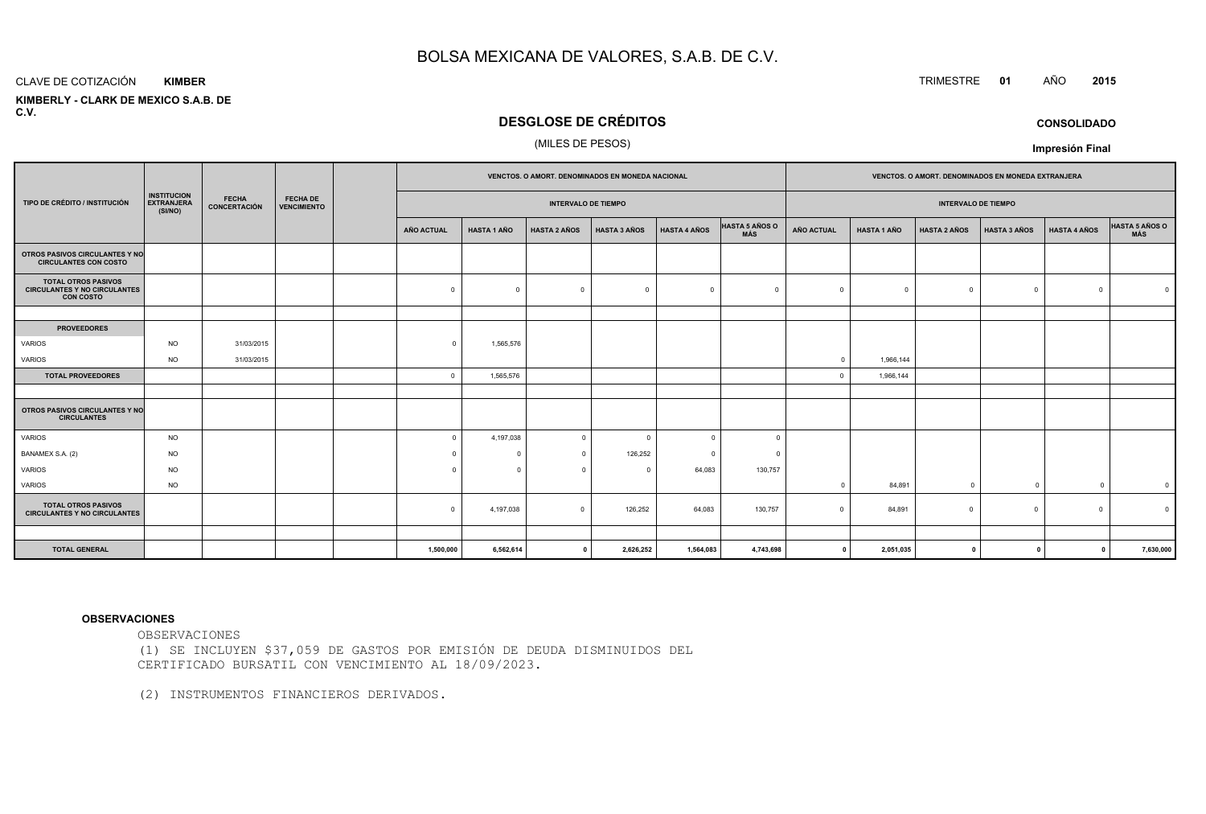#### CLAVE DE COTIZACIÓN**KIMBER**

 **KIMBERLY - CLARK DE MEXICO S.A.B. DEC.V.**

## **DESGLOSE DE CRÉDITOS**

#### (MILES DE PESOS)

|                                                                                       |                                                    |                                     |                                       | <b>VENCTOS, O AMORT, DENOMINADOS EN MONEDA NACIONAL</b> |                    |                     |                     |                     | <b>VENCTOS, O AMORT, DENOMINADOS EN MONEDA EXTRANJERA</b> |             |                    |                     |                     |                     |                         |
|---------------------------------------------------------------------------------------|----------------------------------------------------|-------------------------------------|---------------------------------------|---------------------------------------------------------|--------------------|---------------------|---------------------|---------------------|-----------------------------------------------------------|-------------|--------------------|---------------------|---------------------|---------------------|-------------------------|
| TIPO DE CRÉDITO / INSTITUCIÓN                                                         | <b>INSTITUCION</b><br><b>EXTRANJERA</b><br>(SI/NO) | <b>FECHA</b><br><b>CONCERTACIÓN</b> | <b>FECHA DE</b><br><b>VENCIMIENTO</b> | <b>INTERVALO DE TIEMPO</b>                              |                    |                     |                     |                     | <b>INTERVALO DE TIEMPO</b>                                |             |                    |                     |                     |                     |                         |
|                                                                                       |                                                    |                                     |                                       | <b>AÑO ACTUAL</b>                                       | <b>HASTA 1 AÑO</b> | <b>HASTA 2 AÑOS</b> | <b>HASTA 3 AÑOS</b> | <b>HASTA 4 AÑOS</b> | HASTA 5 AÑOS O<br>MÁS                                     | AÑO ACTUAL  | <b>HASTA 1 AÑO</b> | <b>HASTA 2 AÑOS</b> | <b>HASTA 3 AÑOS</b> | <b>HASTA 4 AÑOS</b> | HASTA 5 AÑOS O          |
| OTROS PASIVOS CIRCULANTES Y NO<br><b>CIRCULANTES CON COSTO</b>                        |                                                    |                                     |                                       |                                                         |                    |                     |                     |                     |                                                           |             |                    |                     |                     |                     |                         |
| <b>TOTAL OTROS PASIVOS</b><br><b>CIRCULANTES Y NO CIRCULANTES</b><br><b>CON COSTO</b> |                                                    |                                     |                                       | $\mathbf 0$                                             | $\Omega$           | $\mathbf 0$         | $\overline{0}$      | $\Omega$            | $\Omega$                                                  | $\Omega$    | $\mathbf{0}$       | $\Omega$            | $^{\circ}$          | $\Omega$            |                         |
|                                                                                       |                                                    |                                     |                                       |                                                         |                    |                     |                     |                     |                                                           |             |                    |                     |                     |                     |                         |
| <b>PROVEEDORES</b>                                                                    |                                                    |                                     |                                       |                                                         |                    |                     |                     |                     |                                                           |             |                    |                     |                     |                     |                         |
| VARIOS                                                                                | <b>NO</b>                                          | 31/03/2015                          |                                       | $\Omega$                                                | 1,565,576          |                     |                     |                     |                                                           |             |                    |                     |                     |                     |                         |
| VARIOS                                                                                | <b>NO</b>                                          | 31/03/2015                          |                                       |                                                         |                    |                     |                     |                     |                                                           | $\Omega$    | 1,966,144          |                     |                     |                     |                         |
| <b>TOTAL PROVEEDORES</b>                                                              |                                                    |                                     |                                       | $\overline{0}$                                          | 1,565,576          |                     |                     |                     |                                                           |             | 1,966,144          |                     |                     |                     |                         |
|                                                                                       |                                                    |                                     |                                       |                                                         |                    |                     |                     |                     |                                                           |             |                    |                     |                     |                     |                         |
| OTROS PASIVOS CIRCULANTES Y NO<br><b>CIRCULANTES</b>                                  |                                                    |                                     |                                       |                                                         |                    |                     |                     |                     |                                                           |             |                    |                     |                     |                     |                         |
| VARIOS                                                                                | <b>NO</b>                                          |                                     |                                       | $\Omega$                                                | 4,197,038          | $\mathbf 0$         | $\Omega$            | $\Omega$            | $\Omega$                                                  |             |                    |                     |                     |                     |                         |
| BANAMEX S.A. (2)                                                                      | <b>NO</b>                                          |                                     |                                       | $\Omega$                                                | 0                  | $\mathbf 0$         | 126,252             | $\Omega$            | $\Omega$                                                  |             |                    |                     |                     |                     |                         |
| VARIOS                                                                                | <b>NO</b>                                          |                                     |                                       | $\Omega$                                                | $\Omega$           | $\mathbf{0}$        | 0                   | 64,083              | 130,757                                                   |             |                    |                     |                     |                     |                         |
| VARIOS                                                                                | <b>NO</b>                                          |                                     |                                       |                                                         |                    |                     |                     |                     |                                                           |             | 84,891             | $\Omega$            | $\overline{0}$      | $\Omega$            | $\overline{\mathbf{0}}$ |
| <b>TOTAL OTROS PASIVOS</b><br><b>CIRCULANTES Y NO CIRCULANTES</b>                     |                                                    |                                     |                                       | $\overline{0}$                                          | 4,197,038          | $\mathbf 0$         | 126,252             | 64,083              | 130,757                                                   | $\Omega$    | 84,891             | $\Omega$            | $\overline{0}$      | $\Omega$            |                         |
|                                                                                       |                                                    |                                     |                                       |                                                         |                    |                     |                     |                     |                                                           |             |                    |                     |                     |                     |                         |
| <b>TOTAL GENERAL</b>                                                                  |                                                    |                                     |                                       | 1,500,000                                               | 6,562,614          | $\mathbf{0}$        | 2,626,252           | 1,564,083           | 4,743,698                                                 | $\mathbf 0$ | 2,051,035          | 0                   | $\Omega$            | $\mathbf{0}$        | 7,630,000               |

#### **OBSERVACIONES**

OBSERVACIONES

 (1) SE INCLUYEN \$37,059 DE GASTOS POR EMISIÓN DE DEUDA DISMINUIDOS DELCERTIFICADO BURSATIL CON VENCIMIENTO AL 18/09/2023.

(2) INSTRUMENTOS FINANCIEROS DERIVADOS.

TRIMESTRE **<sup>01</sup>** AÑO **<sup>2015</sup>**

**CONSOLIDADO**

**Impresión Final**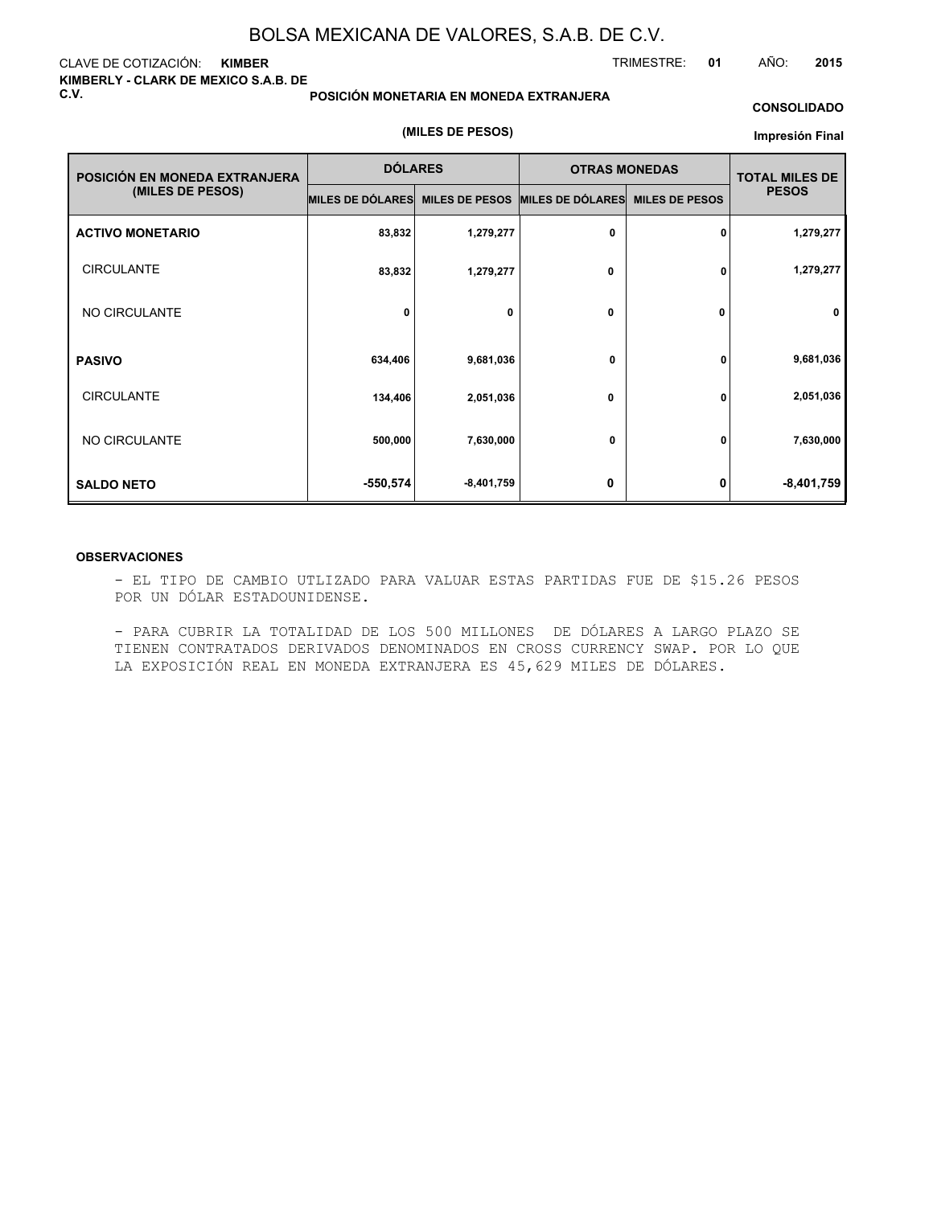#### CLAVE DE COTIZACIÓN: **KIMBER KIMBERLY - CLARK DE MEXICO S.A.B. DE C.V.**

#### **POSICIÓN MONETARIA EN MONEDA EXTRANJERA**

#### **CONSOLIDADO**

TRIMESTRE: **01** AÑO: **2015**

#### **(MILES DE PESOS)**

#### **Impresión Final**

| POSICIÓN EN MONEDA EXTRANJERA | <b>DÓLARES</b>   |                       | <b>OTRAS MONEDAS</b> | <b>TOTAL MILES DE</b> |              |
|-------------------------------|------------------|-----------------------|----------------------|-----------------------|--------------|
| (MILES DE PESOS)              | MILES DE DÓLARES | <b>MILES DE PESOS</b> | MILES DE DÓLARES     | <b>MILES DE PESOS</b> | <b>PESOS</b> |
| <b>ACTIVO MONETARIO</b>       | 83,832           | 1,279,277             | 0                    | 0                     | 1,279,277    |
| <b>CIRCULANTE</b>             | 83,832           | 1,279,277             | 0                    | 0                     | 1,279,277    |
| NO CIRCULANTE                 | 0                | 0                     | 0                    | 0                     | $\mathbf 0$  |
| <b>PASIVO</b>                 | 634,406          | 9,681,036             | 0                    | 0                     | 9,681,036    |
| <b>CIRCULANTE</b>             | 134,406          | 2,051,036             | 0                    | 0                     | 2,051,036    |
| NO CIRCULANTE                 | 500,000          | 7,630,000             | 0                    | 0                     | 7,630,000    |
| <b>SALDO NETO</b>             | $-550,574$       | $-8,401,759$          | 0                    | 0                     | $-8,401,759$ |

#### **OBSERVACIONES**

- EL TIPO DE CAMBIO UTLIZADO PARA VALUAR ESTAS PARTIDAS FUE DE \$15.26 PESOS POR UN DÓLAR ESTADOUNIDENSE.

- PARA CUBRIR LA TOTALIDAD DE LOS 500 MILLONES DE DÓLARES A LARGO PLAZO SE TIENEN CONTRATADOS DERIVADOS DENOMINADOS EN CROSS CURRENCY SWAP. POR LO QUE LA EXPOSICIÓN REAL EN MONEDA EXTRANJERA ES 45,629 MILES DE DÓLARES.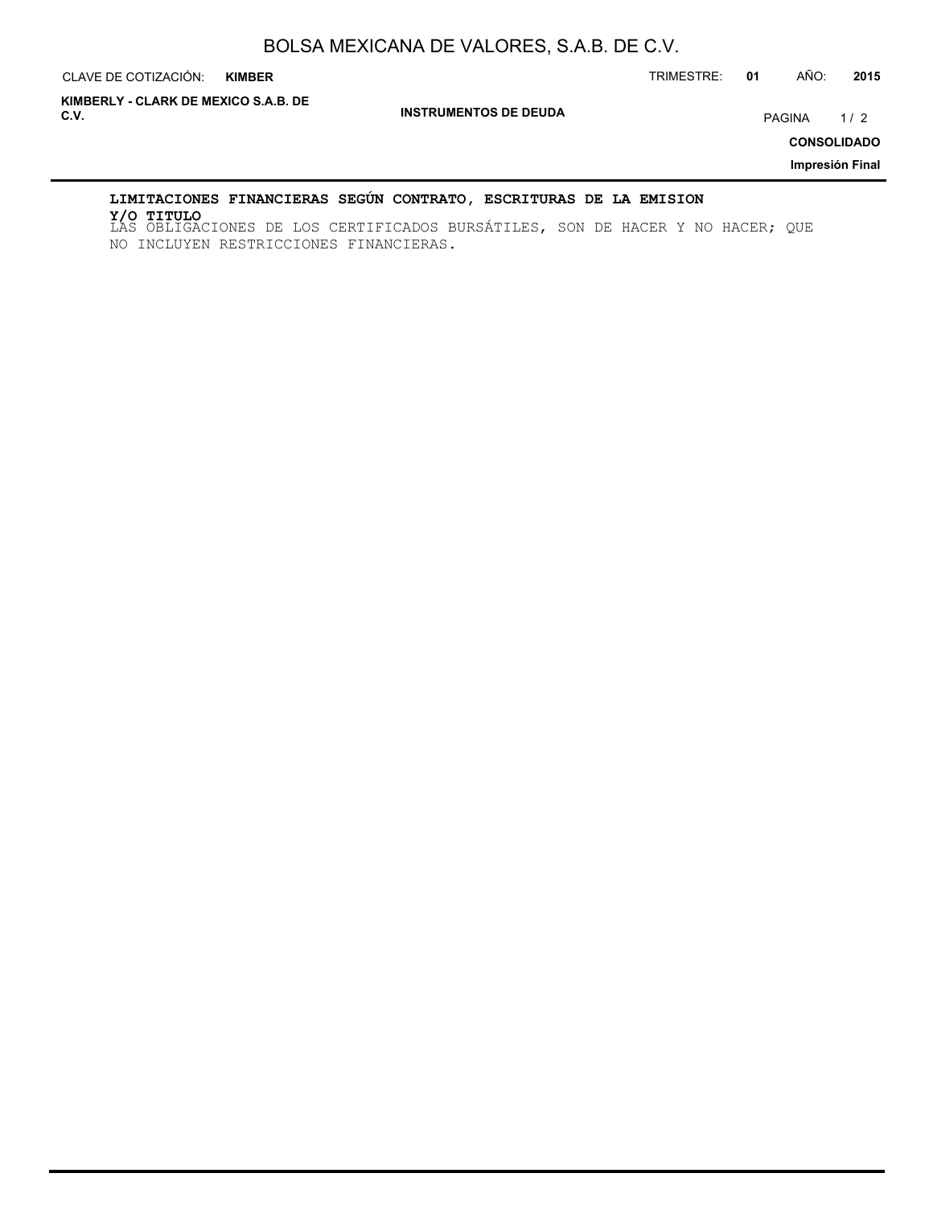CLAVE DE COTIZACIÓN: TRIMESTRE: **01** AÑO: **2015 KIMBER**

**INSTRUMENTOS DE DEUDA C.V.** PAGINA 1 / 2 **KIMBERLY - CLARK DE MEXICO S.A.B. DE**

**CONSOLIDADO**

**Impresión Final**

## **LIMITACIONES FINANCIERAS SEGÚN CONTRATO, ESCRITURAS DE LA EMISION**

LAS OBLIGACIONES DE LOS CERTIFICADOS BURSÁTILES, SON DE HACER Y NO HACER; QUE **Y/O TITULO**NO INCLUYEN RESTRICCIONES FINANCIERAS.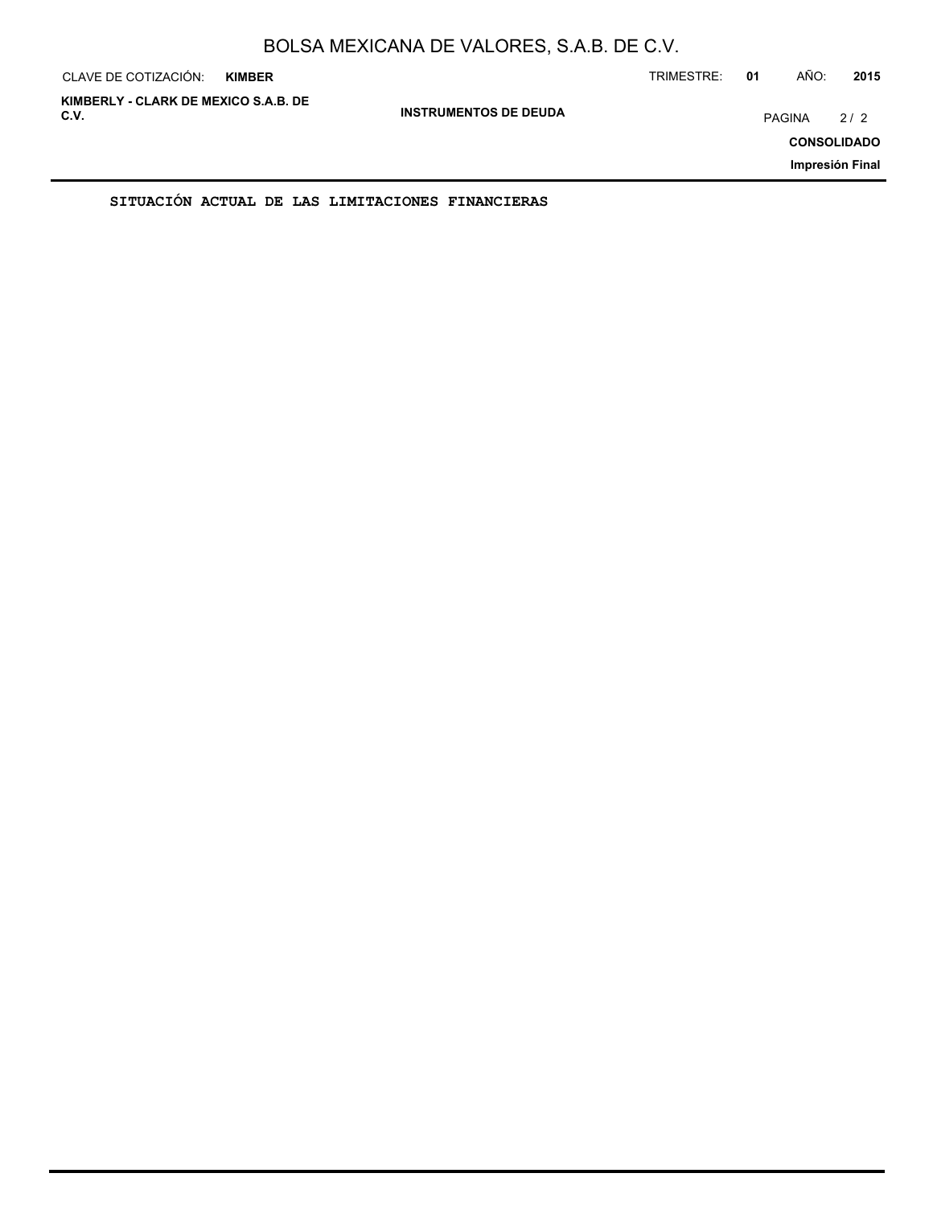| CLAVE DE COTIZACIÓN:                         | <b>KIMBER</b> |                              | TRIMESTRE: | 01     | AÑO: | 2015                                         |
|----------------------------------------------|---------------|------------------------------|------------|--------|------|----------------------------------------------|
| KIMBERLY - CLARK DE MEXICO S.A.B. DE<br>C.V. |               | <b>INSTRUMENTOS DE DEUDA</b> |            | PAGINA |      | 2/2<br><b>CONSOLIDADO</b><br>Impresión Final |
|                                              |               |                              |            |        |      |                                              |

**SITUACIÓN ACTUAL DE LAS LIMITACIONES FINANCIERAS**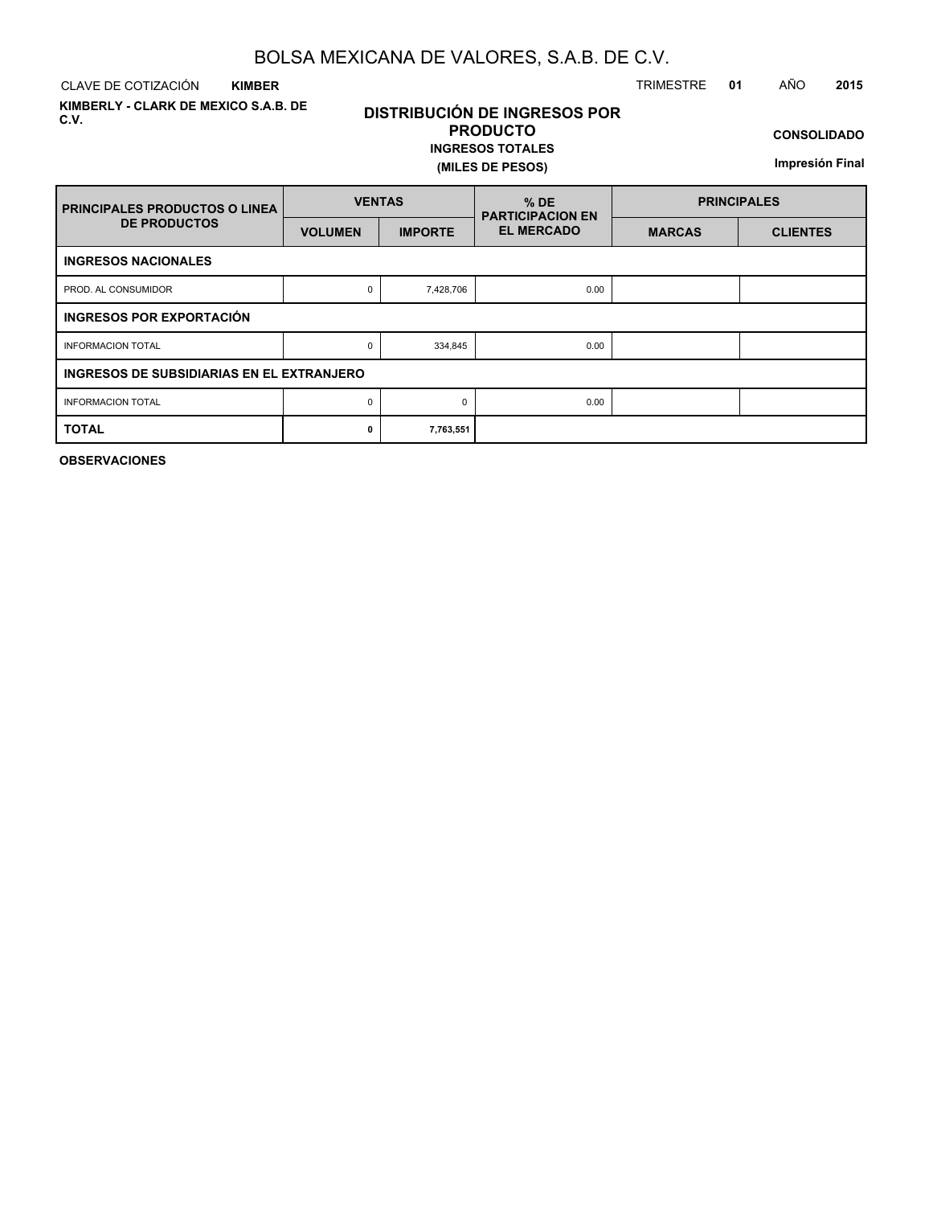CLAVE DE COTIZACIÓN TRIMESTRE **01** AÑO **2015 KIMBER**

**KIMBERLY - CLARK DE MEXICO S.A.B. DE C.V.**

# **DISTRIBUCIÓN DE INGRESOS POR PRODUCTO**

#### **INGRESOS TOTALES (MILES DE PESOS)**

**CONSOLIDADO**

**Impresión Final**

| <b>PRINCIPALES PRODUCTOS O LINEA</b>      | <b>VENTAS</b>  |                | $%$ DE<br><b>PARTICIPACION EN</b> | <b>PRINCIPALES</b> |                 |  |  |  |  |  |  |  |  |
|-------------------------------------------|----------------|----------------|-----------------------------------|--------------------|-----------------|--|--|--|--|--|--|--|--|
| <b>DE PRODUCTOS</b>                       | <b>VOLUMEN</b> | <b>IMPORTE</b> | <b>EL MERCADO</b>                 | <b>MARCAS</b>      | <b>CLIENTES</b> |  |  |  |  |  |  |  |  |
| <b>INGRESOS NACIONALES</b>                |                |                |                                   |                    |                 |  |  |  |  |  |  |  |  |
| PROD. AL CONSUMIDOR                       | 0              | 7,428,706      | 0.00                              |                    |                 |  |  |  |  |  |  |  |  |
| INGRESOS POR EXPORTACIÓN                  |                |                |                                   |                    |                 |  |  |  |  |  |  |  |  |
| <b>INFORMACION TOTAL</b>                  | 0              | 334,845        | 0.00                              |                    |                 |  |  |  |  |  |  |  |  |
| INGRESOS DE SUBSIDIARIAS EN EL EXTRANJERO |                |                |                                   |                    |                 |  |  |  |  |  |  |  |  |
| <b>INFORMACION TOTAL</b>                  | 0              | $\Omega$       | 0.00                              |                    |                 |  |  |  |  |  |  |  |  |
| <b>TOTAL</b>                              | 0              | 7,763,551      |                                   |                    |                 |  |  |  |  |  |  |  |  |

**OBSERVACIONES**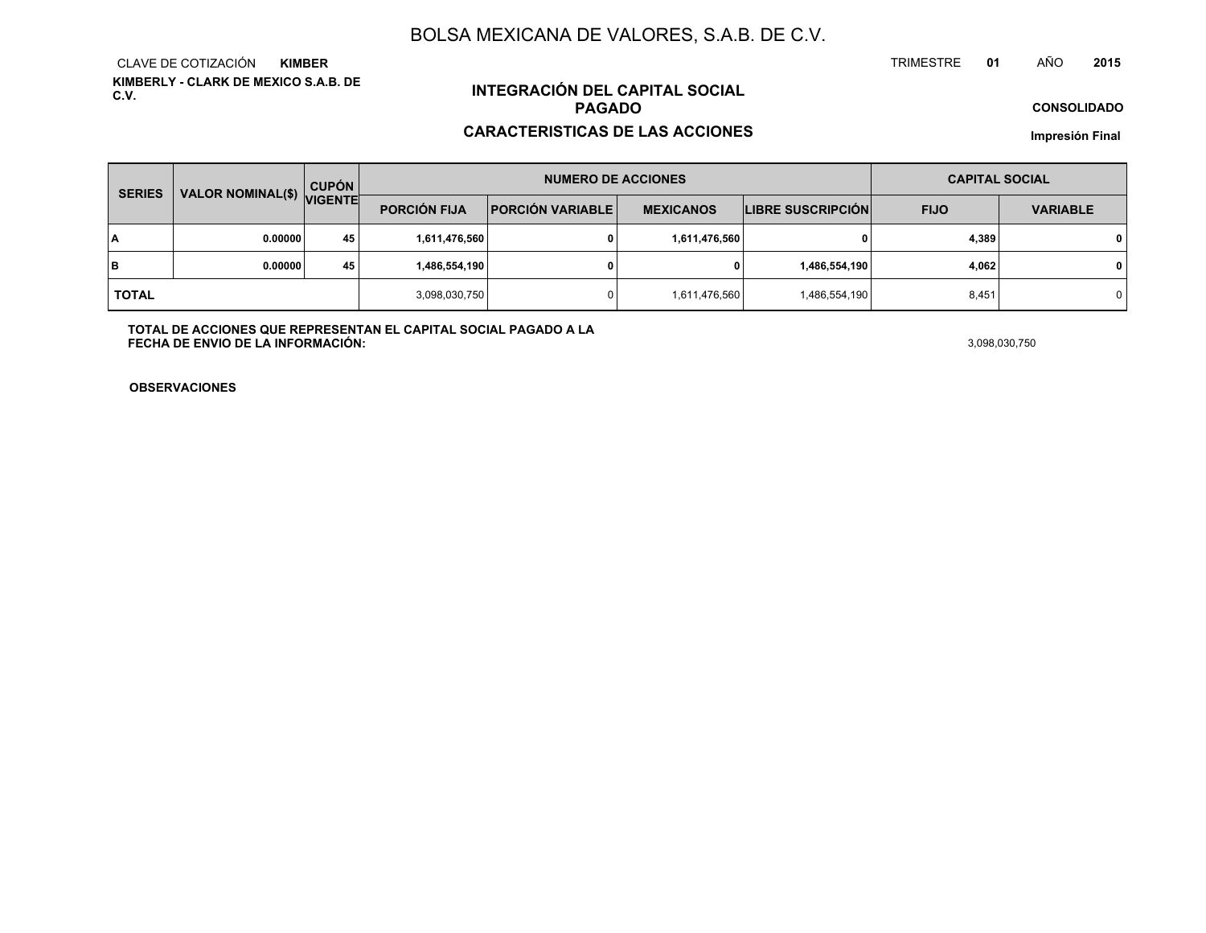**KIMBERLY - CLARK DE MEXICO S.A.B. DE C.V.**CLAVE DE COTIZACIÓN**KIMBER**

# **INTEGRACIÓN DEL CAPITAL SOCIALPAGADO**

#### **CARACTERISTICAS DE LAS ACCIONES**

**CONSOLIDADO**

**Impresión Final**

| <b>SERIES</b> | <b>VALOR NOMINAL(\$)</b> | <b>CUPÓN</b>   |                     | <b>NUMERO DE ACCIONES</b>                   | <b>CAPITAL SOCIAL</b> |                          |             |                 |  |
|---------------|--------------------------|----------------|---------------------|---------------------------------------------|-----------------------|--------------------------|-------------|-----------------|--|
|               |                          | <b>VIGENTE</b> | <b>PORCIÓN FIJA</b> | <b>PORCIÓN VARIABLE</b><br><b>MEXICANOS</b> |                       | <b>LIBRE SUSCRIPCIÓN</b> | <b>FIJO</b> | <b>VARIABLE</b> |  |
| I٨            | 0.00000                  | 45             | 1,611,476,560       |                                             | 1,611,476,560         |                          | 4,389       | $\mathbf 0$     |  |
| lв            | 0.00000                  | 45             | 1,486,554,190       |                                             |                       | 1,486,554,190            | 4,062       | $\mathbf 0$     |  |
| <b>TOTAL</b>  |                          |                | 3,098,030,750       |                                             | 1,611,476,560         | 1,486,554,190            | 8,451       | 0 I             |  |

**TOTAL DE ACCIONES QUE REPRESENTAN EL CAPITAL SOCIAL PAGADO A LAFECHA DE ENVIO DE LA INFORMACIÓN:**3,098,030,750

TRIMESTRE

**OBSERVACIONES**

 **<sup>01</sup>** AÑO**<sup>2015</sup>**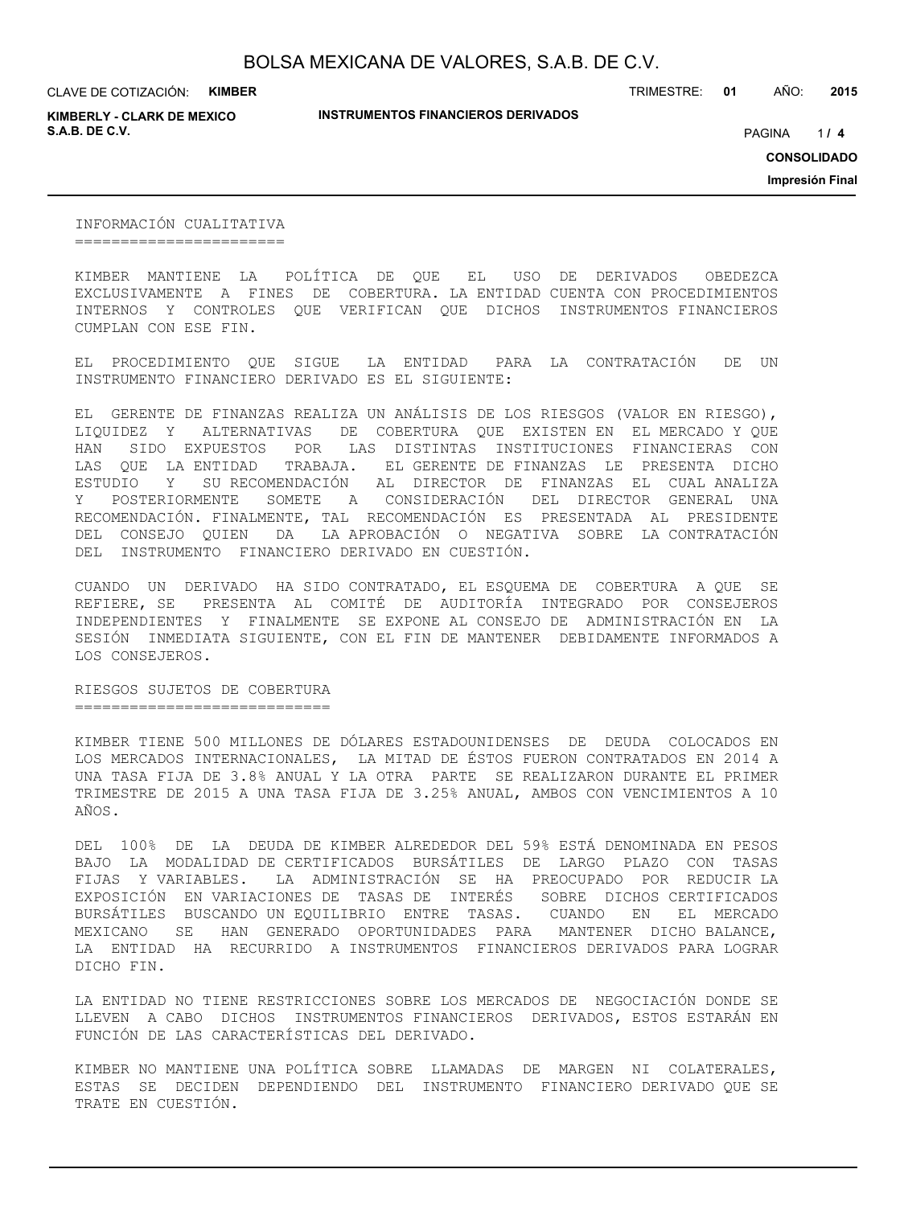**KIMBERLY - CLARK DE MEXICO S.A.B. DE C.V.** *A* **PAGINA <b>***11* **<b>4 PAGINA** *4 PAGINA <i>4 PAGINA 4 PAGINA 4 PAGINA <i>4 PAGINA*

**INSTRUMENTOS FINANCIEROS DERIVADOS**

TRIMESTRE: **01** AÑO: **2015**

 $114$ 

**CONSOLIDADO**

**Impresión Final**

INFORMACIÓN CUALITATIVA =======================

KIMBER MANTIENE LA POLÍTICA DE QUE EL USO DE DERIVADOS OBEDEZCA EXCLUSIVAMENTE A FINES DE COBERTURA. LA ENTIDAD CUENTA CON PROCEDIMIENTOS INTERNOS Y CONTROLES QUE VERIFICAN QUE DICHOS INSTRUMENTOS FINANCIEROS CUMPLAN CON ESE FIN.

EL PROCEDIMIENTO QUE SIGUE LA ENTIDAD PARA LA CONTRATACIÓN DE UN INSTRUMENTO FINANCIERO DERIVADO ES EL SIGUIENTE:

EL GERENTE DE FINANZAS REALIZA UN ANÁLISIS DE LOS RIESGOS (VALOR EN RIESGO), LIQUIDEZ Y ALTERNATIVAS DE COBERTURA QUE EXISTEN EN EL MERCADO Y QUE HAN SIDO EXPUESTOS POR LAS DISTINTAS INSTITUCIONES FINANCIERAS CON LAS QUE LA ENTIDAD TRABAJA. EL GERENTE DE FINANZAS LE PRESENTA DICHO ESTUDIO Y SU RECOMENDACIÓN AL DIRECTOR DE FINANZAS EL CUAL ANALIZA Y POSTERIORMENTE SOMETE A CONSIDERACIÓN DEL DIRECTOR GENERAL UNA RECOMENDACIÓN. FINALMENTE, TAL RECOMENDACIÓN ES PRESENTADA AL PRESIDENTE DEL CONSEJO QUIEN DA LA APROBACIÓN O NEGATIVA SOBRE LA CONTRATACIÓN DEL INSTRUMENTO FINANCIERO DERIVADO EN CUESTIÓN.

CUANDO UN DERIVADO HA SIDO CONTRATADO, EL ESQUEMA DE COBERTURA A QUE SE REFIERE, SE PRESENTA AL COMITÉ DE AUDITORÍA INTEGRADO POR CONSEJEROS INDEPENDIENTES Y FINALMENTE SE EXPONE AL CONSEJO DE ADMINISTRACIÓN EN LA SESIÓN INMEDIATA SIGUIENTE, CON EL FIN DE MANTENER DEBIDAMENTE INFORMADOS A LOS CONSEJEROS.

RIESGOS SUJETOS DE COBERTURA ============================

KIMBER TIENE 500 MILLONES DE DÓLARES ESTADOUNIDENSES DE DEUDA COLOCADOS EN LOS MERCADOS INTERNACIONALES, LA MITAD DE ÉSTOS FUERON CONTRATADOS EN 2014 A UNA TASA FIJA DE 3.8% ANUAL Y LA OTRA PARTE SE REALIZARON DURANTE EL PRIMER TRIMESTRE DE 2015 A UNA TASA FIJA DE 3.25% ANUAL, AMBOS CON VENCIMIENTOS A 10 AÑOS.

DEL 100% DE LA DEUDA DE KIMBER ALREDEDOR DEL 59% ESTÁ DENOMINADA EN PESOS BAJO LA MODALIDAD DE CERTIFICADOS BURSÁTILES DE LARGO PLAZO CON TASAS FIJAS Y VARIABLES. LA ADMINISTRACIÓN SE HA PREOCUPADO POR REDUCIR LA EXPOSICIÓN EN VARIACIONES DE TASAS DE INTERÉS SOBRE DICHOS CERTIFICADOS BURSÁTILES BUSCANDO UN EQUILIBRIO ENTRE TASAS. CUANDO EN EL MERCADO MEXICANO SE HAN GENERADO OPORTUNIDADES PARA MANTENER DICHO BALANCE, LA ENTIDAD HA RECURRIDO A INSTRUMENTOS FINANCIEROS DERIVADOS PARA LOGRAR DICHO FIN.

LA ENTIDAD NO TIENE RESTRICCIONES SOBRE LOS MERCADOS DE NEGOCIACIÓN DONDE SE LLEVEN A CABO DICHOS INSTRUMENTOS FINANCIEROS DERIVADOS, ESTOS ESTARÁN EN FUNCIÓN DE LAS CARACTERÍSTICAS DEL DERIVADO.

KIMBER NO MANTIENE UNA POLÍTICA SOBRE LLAMADAS DE MARGEN NI COLATERALES, ESTAS SE DECIDEN DEPENDIENDO DEL INSTRUMENTO FINANCIERO DERIVADO QUE SE TRATE EN CUESTIÓN.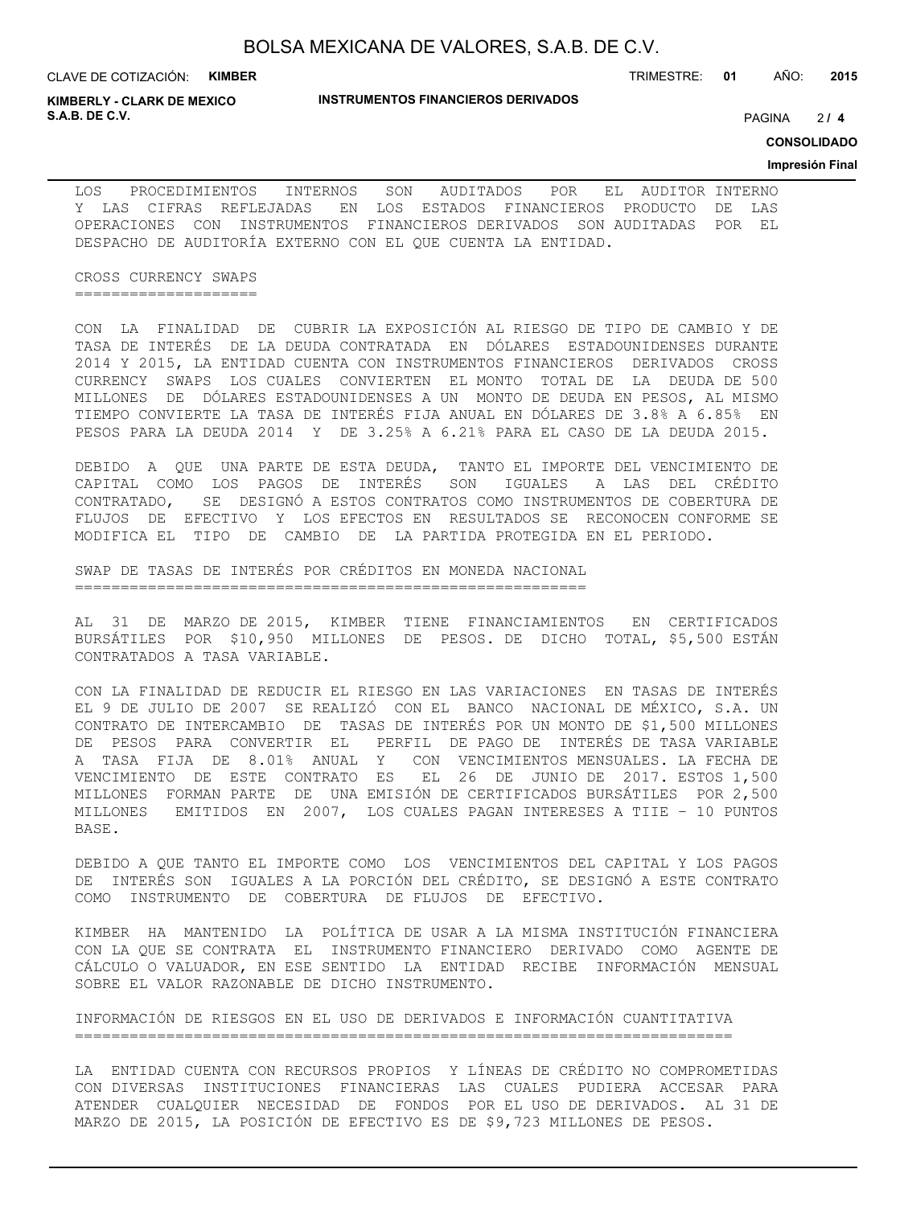**KIMBERLY - CLARK DE MEXICO S.A.B. DE C.V.** PAGINA **/ 4**

TRIMESTRE: **01** AÑO: **2015**

 $214$ 

**CONSOLIDADO**

#### **Impresión Final**

LOS PROCEDIMIENTOS INTERNOS SON AUDITADOS POR EL AUDITOR INTERNO Y LAS CIFRAS REFLEJADAS EN LOS ESTADOS FINANCIEROS PRODUCTO DE LAS OPERACIONES CON INSTRUMENTOS FINANCIEROS DERIVADOS SON AUDITADAS POR EL DESPACHO DE AUDITORÍA EXTERNO CON EL QUE CUENTA LA ENTIDAD.

CROSS CURRENCY SWAPS ====================

CON LA FINALIDAD DE CUBRIR LA EXPOSICIÓN AL RIESGO DE TIPO DE CAMBIO Y DE TASA DE INTERÉS DE LA DEUDA CONTRATADA EN DÓLARES ESTADOUNIDENSES DURANTE 2014 Y 2015, LA ENTIDAD CUENTA CON INSTRUMENTOS FINANCIEROS DERIVADOS CROSS CURRENCY SWAPS LOS CUALES CONVIERTEN EL MONTO TOTAL DE LA DEUDA DE 500 MILLONES DE DÓLARES ESTADOUNIDENSES A UN MONTO DE DEUDA EN PESOS, AL MISMO TIEMPO CONVIERTE LA TASA DE INTERÉS FIJA ANUAL EN DÓLARES DE 3.8% A 6.85% EN PESOS PARA LA DEUDA 2014 Y DE 3.25% A 6.21% PARA EL CASO DE LA DEUDA 2015.

DEBIDO A QUE UNA PARTE DE ESTA DEUDA, TANTO EL IMPORTE DEL VENCIMIENTO DE CAPITAL COMO LOS PAGOS DE INTERÉS SON IGUALES A LAS DEL CRÉDITO CONTRATADO, SE DESIGNÓ A ESTOS CONTRATOS COMO INSTRUMENTOS DE COBERTURA DE FLUJOS DE EFECTIVO Y LOS EFECTOS EN RESULTADOS SE RECONOCEN CONFORME SE MODIFICA EL TIPO DE CAMBIO DE LA PARTIDA PROTEGIDA EN EL PERIODO.

SWAP DE TASAS DE INTERÉS POR CRÉDITOS EN MONEDA NACIONAL ========================================================

AL 31 DE MARZO DE 2015, KIMBER TIENE FINANCIAMIENTOS EN CERTIFICADOS BURSÁTILES POR \$10,950 MILLONES DE PESOS. DE DICHO TOTAL, \$5,500 ESTÁN CONTRATADOS A TASA VARIABLE.

CON LA FINALIDAD DE REDUCIR EL RIESGO EN LAS VARIACIONES EN TASAS DE INTERÉS EL 9 DE JULIO DE 2007 SE REALIZÓ CON EL BANCO NACIONAL DE MÉXICO, S.A. UN CONTRATO DE INTERCAMBIO DE TASAS DE INTERÉS POR UN MONTO DE \$1,500 MILLONES DE PESOS PARA CONVERTIR EL PERFIL DE PAGO DE INTERÉS DE TASA VARIABLE A TASA FIJA DE 8.01% ANUAL Y CON VENCIMIENTOS MENSUALES. LA FECHA DE VENCIMIENTO DE ESTE CONTRATO ES EL 26 DE JUNIO DE 2017. ESTOS 1,500 MILLONES FORMAN PARTE DE UNA EMISIÓN DE CERTIFICADOS BURSÁTILES POR 2,500 MILLONES EMITIDOS EN 2007, LOS CUALES PAGAN INTERESES A TIIE – 10 PUNTOS BASE.

DEBIDO A QUE TANTO EL IMPORTE COMO LOS VENCIMIENTOS DEL CAPITAL Y LOS PAGOS DE INTERÉS SON IGUALES A LA PORCIÓN DEL CRÉDITO, SE DESIGNÓ A ESTE CONTRATO COMO INSTRUMENTO DE COBERTURA DE FLUJOS DE EFECTIVO.

KIMBER HA MANTENIDO LA POLÍTICA DE USAR A LA MISMA INSTITUCIÓN FINANCIERA CON LA QUE SE CONTRATA EL INSTRUMENTO FINANCIERO DERIVADO COMO AGENTE DE CÁLCULO O VALUADOR, EN ESE SENTIDO LA ENTIDAD RECIBE INFORMACIÓN MENSUAL SOBRE EL VALOR RAZONABLE DE DICHO INSTRUMENTO.

INFORMACIÓN DE RIESGOS EN EL USO DE DERIVADOS E INFORMACIÓN CUANTITATIVA ========================================================================

LA ENTIDAD CUENTA CON RECURSOS PROPIOS Y LÍNEAS DE CRÉDITO NO COMPROMETIDAS CON DIVERSAS INSTITUCIONES FINANCIERAS LAS CUALES PUDIERA ACCESAR PARA ATENDER CUALQUIER NECESIDAD DE FONDOS POR EL USO DE DERIVADOS. AL 31 DE MARZO DE 2015, LA POSICIÓN DE EFECTIVO ES DE \$9,723 MILLONES DE PESOS.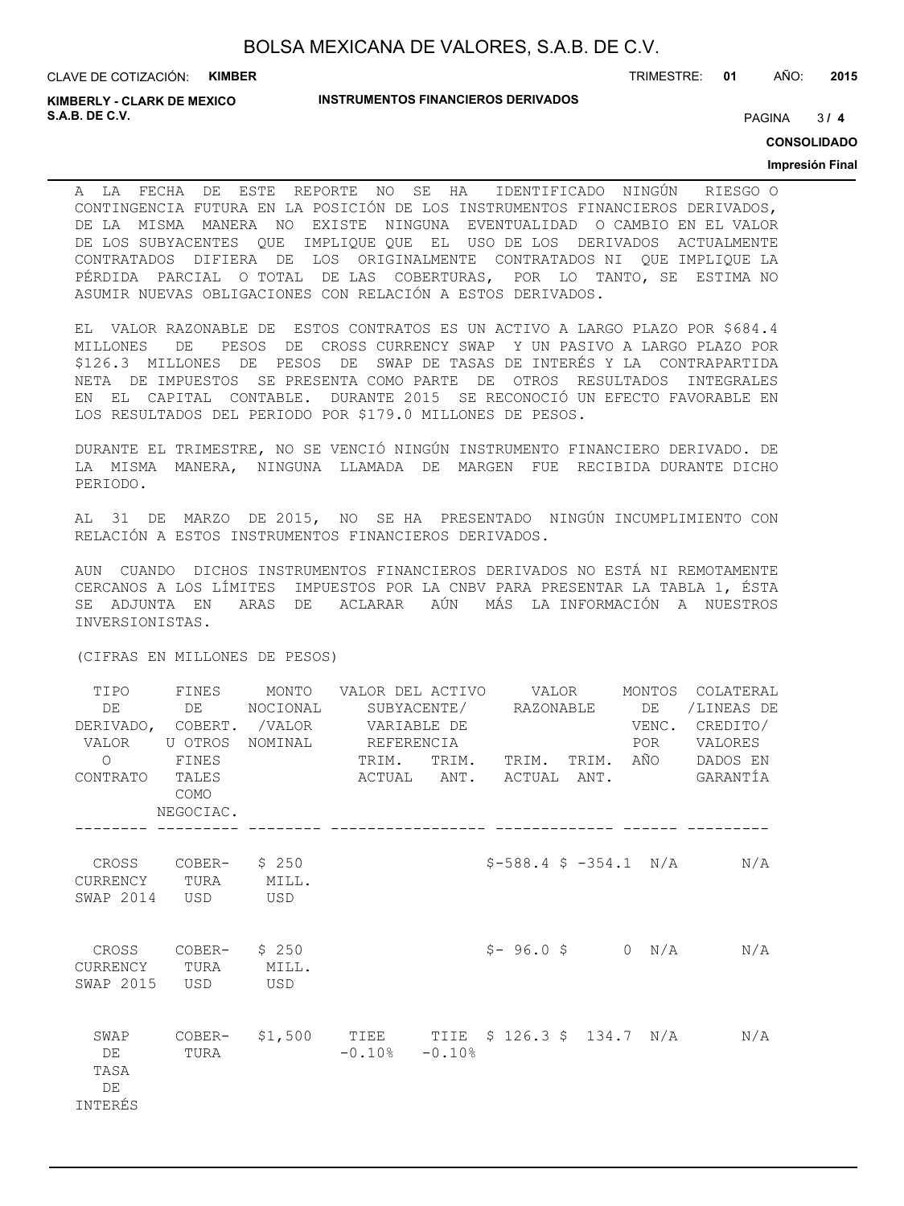**KIMBERLY - CLARK DE MEXICO S.A.B. DE C.V.** PAGINA **/ 4**

TRIMESTRE: **01** AÑO: **2015**

 $3/4$ 

**CONSOLIDADO**

#### **Impresión Final**

A LA FECHA DE ESTE REPORTE NO SE HA IDENTIFICADO NINGÚN RIESGO O CONTINGENCIA FUTURA EN LA POSICIÓN DE LOS INSTRUMENTOS FINANCIEROS DERIVADOS, DE LA MISMA MANERA NO EXISTE NINGUNA EVENTUALIDAD O CAMBIO EN EL VALOR DE LOS SUBYACENTES QUE IMPLIQUE QUE EL USO DE LOS DERIVADOS ACTUALMENTE CONTRATADOS DIFIERA DE LOS ORIGINALMENTE CONTRATADOS NI QUE IMPLIQUE LA PÉRDIDA PARCIAL O TOTAL DE LAS COBERTURAS, POR LO TANTO, SE ESTIMA NO ASUMIR NUEVAS OBLIGACIONES CON RELACIÓN A ESTOS DERIVADOS.

EL VALOR RAZONABLE DE ESTOS CONTRATOS ES UN ACTIVO A LARGO PLAZO POR \$684.4 MILLONES DE PESOS DE CROSS CURRENCY SWAP Y UN PASIVO A LARGO PLAZO POR \$126.3 MILLONES DE PESOS DE SWAP DE TASAS DE INTERÉS Y LA CONTRAPARTIDA NETA DE IMPUESTOS SE PRESENTA COMO PARTE DE OTROS RESULTADOS INTEGRALES EN EL CAPITAL CONTABLE. DURANTE 2015 SE RECONOCIÓ UN EFECTO FAVORABLE EN LOS RESULTADOS DEL PERIODO POR \$179.0 MILLONES DE PESOS.

DURANTE EL TRIMESTRE, NO SE VENCIÓ NINGÚN INSTRUMENTO FINANCIERO DERIVADO. DE LA MISMA MANERA, NINGUNA LLAMADA DE MARGEN FUE RECIBIDA DURANTE DICHO PERIODO.

AL 31 DE MARZO DE 2015, NO SE HA PRESENTADO NINGÚN INCUMPLIMIENTO CON RELACIÓN A ESTOS INSTRUMENTOS FINANCIEROS DERIVADOS.

AUN CUANDO DICHOS INSTRUMENTOS FINANCIEROS DERIVADOS NO ESTÁ NI REMOTAMENTE CERCANOS A LOS LÍMITES IMPUESTOS POR LA CNBV PARA PRESENTAR LA TABLA 1, ÉSTA SE ADJUNTA EN ARAS DE ACLARAR AÚN MÁS LA INFORMACIÓN A NUESTROS INVERSIONISTAS.

(CIFRAS EN MILLONES DE PESOS)

| TIPO<br>DE<br>VALOR U OTROS<br>$\Omega$<br>CONTRATO TALES | FINES<br>DE DE<br>FINES<br>COMO<br>NEGOCIAC. | MONTO    VALOR DEL  ACTIVO        VALOR<br>NOCIONAL<br>DERIVADO, COBERT. /VALOR VARIABLE DE<br>NOMINAL REFERENCIA | TRIM.               | TRIM. TRIM. TRIM. AÑO    | POR | MONTOS COLATERAL<br>/LINEAS DE<br>VENC. CREDITO/<br>VALORES<br>DADOS EN<br>ACTUAL ANT. ACTUAL ANT. GARANTÍA |
|-----------------------------------------------------------|----------------------------------------------|-------------------------------------------------------------------------------------------------------------------|---------------------|--------------------------|-----|-------------------------------------------------------------------------------------------------------------|
|                                                           |                                              |                                                                                                                   |                     |                          |     |                                                                                                             |
| CROSS<br>CURRENCY TURA MILL.<br>SWAP 2014                 | $COBER-$ \$ 250<br>USD                       | <b>USD</b>                                                                                                        |                     |                          |     | $$-588.4 \t$ -354.1 N/A N/A$                                                                                |
| CURRENCY TURA MILL.<br>SWAP 2015                          | CROSS COBER- $$250$<br>USD                   | USD <sup>1</sup>                                                                                                  |                     | $$-96.0 \text{ }$ 0 N/A$ |     | N/A                                                                                                         |
| SWAP<br>DE<br>TASA<br>DE<br>INTERÉS                       | TURA                                         |                                                                                                                   | $-0.10$ % $-0.10$ % |                          |     | COBER- \$1,500 TIEE TIIE \$126.3 \$134.7 N/A N/A                                                            |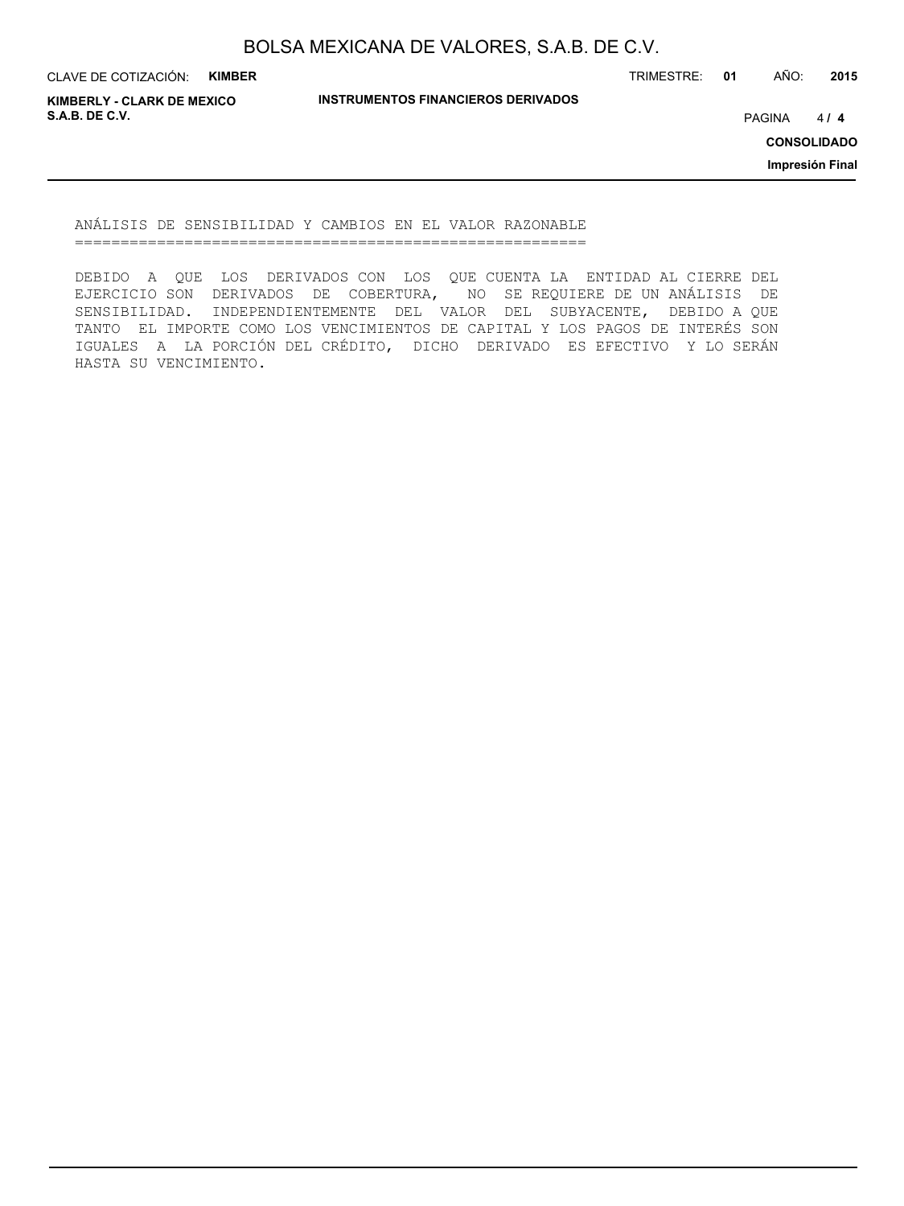CLAVE DE COTIZACIÓN: **KIMBER**

TRIMESTRE: **01** AÑO: **2015**

**KIMBERLY - CLARK DE MEXICO S.A.B. DE C.V.** PAGINA **/ 4**

**INSTRUMENTOS FINANCIEROS DERIVADOS**

 $414$ 

**CONSOLIDADO**

**Impresión Final**

ANÁLISIS DE SENSIBILIDAD Y CAMBIOS EN EL VALOR RAZONABLE ========================================================

DEBIDO A QUE LOS DERIVADOS CON LOS QUE CUENTA LA ENTIDAD AL CIERRE DEL EJERCICIO SON DERIVADOS DE COBERTURA, NO SE REQUIERE DE UN ANÁLISIS DE SENSIBILIDAD. INDEPENDIENTEMENTE DEL VALOR DEL SUBYACENTE, DEBIDO A QUE TANTO EL IMPORTE COMO LOS VENCIMIENTOS DE CAPITAL Y LOS PAGOS DE INTERÉS SON IGUALES A LA PORCIÓN DEL CRÉDITO, DICHO DERIVADO ES EFECTIVO Y LO SERÁN HASTA SU VENCIMIENTO.